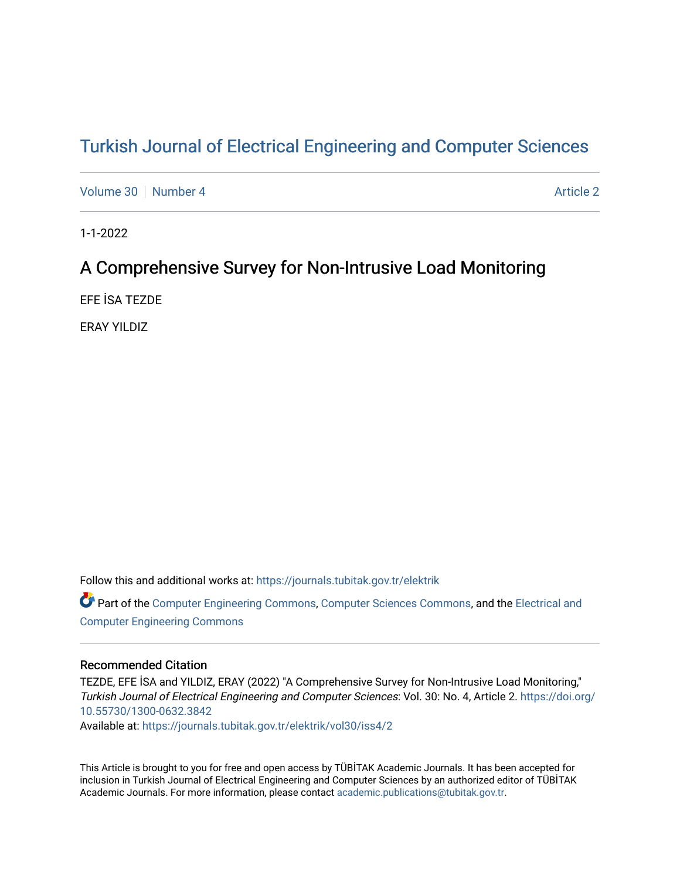# [Turkish Journal of Electrical Engineering and Computer Sciences](https://journals.tubitak.gov.tr/elektrik)

[Volume 30](https://journals.tubitak.gov.tr/elektrik/vol30) [Number 4](https://journals.tubitak.gov.tr/elektrik/vol30/iss4) [Article 2](https://journals.tubitak.gov.tr/elektrik/vol30/iss4/2) Article 2

1-1-2022

# A Comprehensive Survey for Non-Intrusive Load Monitoring

EFE İSA TEZDE

ERAY YILDIZ

Follow this and additional works at: [https://journals.tubitak.gov.tr/elektrik](https://journals.tubitak.gov.tr/elektrik?utm_source=journals.tubitak.gov.tr%2Felektrik%2Fvol30%2Fiss4%2F2&utm_medium=PDF&utm_campaign=PDFCoverPages) 

Part of the [Computer Engineering Commons,](https://network.bepress.com/hgg/discipline/258?utm_source=journals.tubitak.gov.tr%2Felektrik%2Fvol30%2Fiss4%2F2&utm_medium=PDF&utm_campaign=PDFCoverPages) [Computer Sciences Commons](https://network.bepress.com/hgg/discipline/142?utm_source=journals.tubitak.gov.tr%2Felektrik%2Fvol30%2Fiss4%2F2&utm_medium=PDF&utm_campaign=PDFCoverPages), and the [Electrical and](https://network.bepress.com/hgg/discipline/266?utm_source=journals.tubitak.gov.tr%2Felektrik%2Fvol30%2Fiss4%2F2&utm_medium=PDF&utm_campaign=PDFCoverPages) [Computer Engineering Commons](https://network.bepress.com/hgg/discipline/266?utm_source=journals.tubitak.gov.tr%2Felektrik%2Fvol30%2Fiss4%2F2&utm_medium=PDF&utm_campaign=PDFCoverPages)

# Recommended Citation

TEZDE, EFE İSA and YILDIZ, ERAY (2022) "A Comprehensive Survey for Non-Intrusive Load Monitoring," Turkish Journal of Electrical Engineering and Computer Sciences: Vol. 30: No. 4, Article 2. [https://doi.org/](https://doi.org/10.55730/1300-0632.3842) [10.55730/1300-0632.3842](https://doi.org/10.55730/1300-0632.3842) 

Available at: [https://journals.tubitak.gov.tr/elektrik/vol30/iss4/2](https://journals.tubitak.gov.tr/elektrik/vol30/iss4/2?utm_source=journals.tubitak.gov.tr%2Felektrik%2Fvol30%2Fiss4%2F2&utm_medium=PDF&utm_campaign=PDFCoverPages) 

This Article is brought to you for free and open access by TÜBİTAK Academic Journals. It has been accepted for inclusion in Turkish Journal of Electrical Engineering and Computer Sciences by an authorized editor of TÜBİTAK Academic Journals. For more information, please contact [academic.publications@tubitak.gov.tr](mailto:academic.publications@tubitak.gov.tr).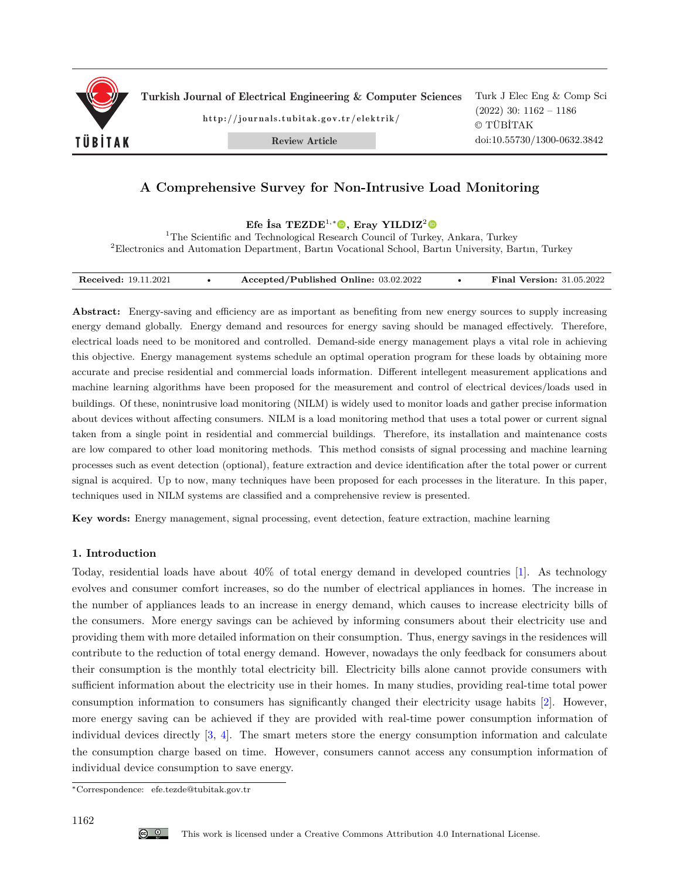

Turkish Journal of Electrical Engineering & Computer Sciences

http://journals.tubitak.gov.tr/elektrik/

Review Article

# **A Comprehensive Survey for Non-Intrusive Load Monitoring**

**Efe İsa TEZDE**<sup>1</sup>*,*<sup>∗</sup>**, Eray YILDIZ**<sup>2</sup>

<sup>1</sup>The Scientific and Technological Research Council of Turkey, Ankara, Turkey <sup>2</sup>Electronics and Automation Department, Bartın Vocational School, Bartın University, Bartın, Turkey

| <b>Received:</b> 19.11.2021 | Accepted/Published Online: 03.02.2022 |  | <b>Final Version: 31.05.2022</b><br>. |
|-----------------------------|---------------------------------------|--|---------------------------------------|
|-----------------------------|---------------------------------------|--|---------------------------------------|

**Abstract:** Energy-saving and efficiency are as important as benefiting from new energy sources to supply increasing energy demand globally. Energy demand and resources for energy saving should be managed effectively. Therefore, electrical loads need to be monitored and controlled. Demand-side energy management plays a vital role in achieving this objective. Energy management systems schedule an optimal operation program for these loads by obtaining more accurate and precise residential and commercial loads information. Different intellegent measurement applications and machine learning algorithms have been proposed for the measurement and control of electrical devices/loads used in buildings. Of these, nonintrusive load monitoring (NILM) is widely used to monitor loads and gather precise information about devices without affecting consumers. NILM is a load monitoring method that uses a total power or current signal taken from a single point in residential and commercial buildings. Therefore, its installation and maintenance costs are low compared to other load monitoring methods. This method consists of signal processing and machine learning processes such as event detection (optional), feature extraction and device identification after the total power or current signal is acquired. Up to now, many techniques have been proposed for each processes in the literature. In this paper, techniques used in NILM systems are classified and a comprehensive review is presented.

**Key words:** Energy management, signal processing, event detection, feature extraction, machine learning

# **1. Introduction**

Today, residential loads have about 40% of total energy demand in developed countries [[1\]](#page-18-0). As technology evolves and consumer comfort increases, so do the number of electrical appliances in homes. The increase in the number of appliances leads to an increase in energy demand, which causes to increase electricity bills of the consumers. More energy savings can be achieved by informing consumers about their electricity use and providing them with more detailed information on their consumption. Thus, energy savings in the residences will contribute to the reduction of total energy demand. However, nowadays the only feedback for consumers about their consumption is the monthly total electricity bill. Electricity bills alone cannot provide consumers with sufficient information about the electricity use in their homes. In many studies, providing real-time total power consumption information to consumers has significantly changed their electricity usage habits [[2](#page-19-0)]. However, more energy saving can be achieved if they are provided with real-time power consumption information of individual devices directly [[3,](#page-19-1) [4\]](#page-19-2). The smart meters store the energy consumption information and calculate the consumption charge based on time. However, consumers cannot access any consumption information of individual device consumption to save energy.

<sup>∗</sup>Correspondence: efe.tezde@tubitak.gov.tr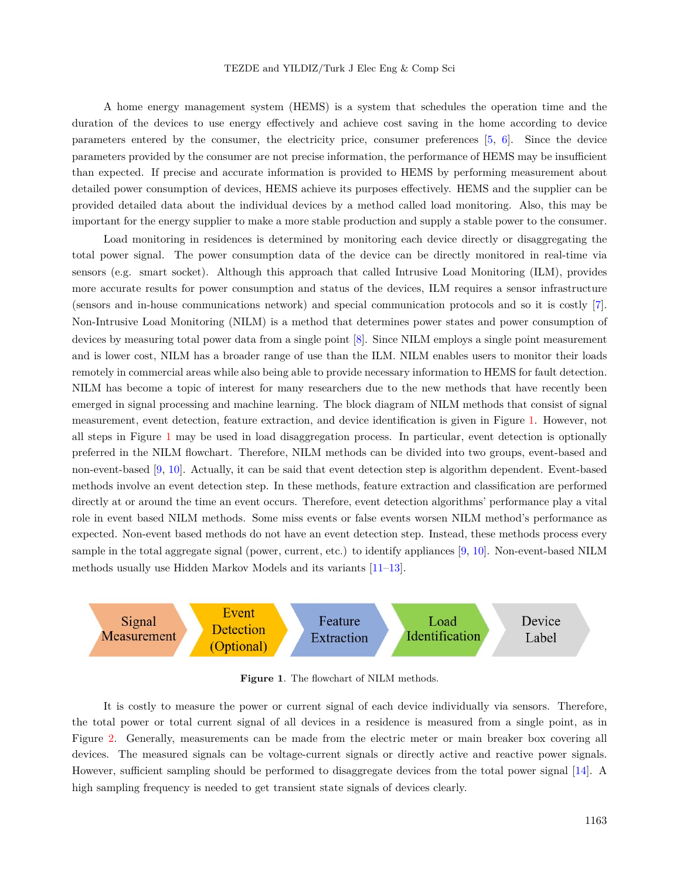A home energy management system (HEMS) is a system that schedules the operation time and the duration of the devices to use energy effectively and achieve cost saving in the home according to device parameters entered by the consumer, the electricity price, consumer preferences [\[5](#page-19-3), [6](#page-19-4)]. Since the device parameters provided by the consumer are not precise information, the performance of HEMS may be insufficient than expected. If precise and accurate information is provided to HEMS by performing measurement about detailed power consumption of devices, HEMS achieve its purposes effectively. HEMS and the supplier can be provided detailed data about the individual devices by a method called load monitoring. Also, this may be important for the energy supplier to make a more stable production and supply a stable power to the consumer.

Load monitoring in residences is determined by monitoring each device directly or disaggregating the total power signal. The power consumption data of the device can be directly monitored in real-time via sensors (e.g. smart socket). Although this approach that called Intrusive Load Monitoring (ILM), provides more accurate results for power consumption and status of the devices, ILM requires a sensor infrastructure (sensors and in-house communications network) and special communication protocols and so it is costly [\[7](#page-19-5)]. Non-Intrusive Load Monitoring (NILM) is a method that determines power states and power consumption of devices by measuring total power data from a single point [[8\]](#page-19-6). Since NILM employs a single point measurement and is lower cost, NILM has a broader range of use than the ILM. NILM enables users to monitor their loads remotely in commercial areas while also being able to provide necessary information to HEMS for fault detection. NILM has become a topic of interest for many researchers due to the new methods that have recently been emerged in signal processing and machine learning. The block diagram of NILM methods that consist of signal measurement, event detection, feature extraction, and device identification is given in Figure [1](#page-2-0). However, not all steps in Figure [1](#page-2-0) may be used in load disaggregation process. In particular, event detection is optionally preferred in the NILM flowchart. Therefore, NILM methods can be divided into two groups, event-based and non-event-based [[9,](#page-19-7) [10\]](#page-19-8). Actually, it can be said that event detection step is algorithm dependent. Event-based methods involve an event detection step. In these methods, feature extraction and classification are performed directly at or around the time an event occurs. Therefore, event detection algorithms' performance play a vital role in event based NILM methods. Some miss events or false events worsen NILM method's performance as expected. Non-event based methods do not have an event detection step. Instead, these methods process every sample in the total aggregate signal (power, current, etc.) to identify appliances [\[9](#page-19-7), [10\]](#page-19-8). Non-event-based NILM methods usually use Hidden Markov Models and its variants [\[11](#page-19-9)[–13](#page-19-10)].



<span id="page-2-0"></span>Figure 1. The flowchart of NILM methods.

It is costly to measure the power or current signal of each device individually via sensors. Therefore, the total power or total current signal of all devices in a residence is measured from a single point, as in Figure [2.](#page-3-0) Generally, measurements can be made from the electric meter or main breaker box covering all devices. The measured signals can be voltage-current signals or directly active and reactive power signals. However, sufficient sampling should be performed to disaggregate devices from the total power signal [\[14](#page-19-11)]. A high sampling frequency is needed to get transient state signals of devices clearly.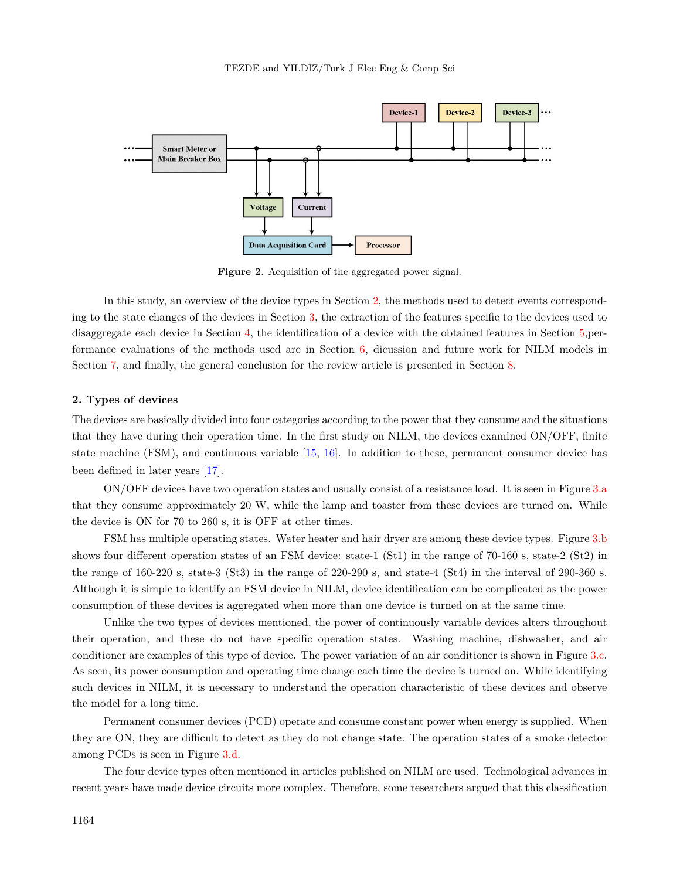

<span id="page-3-0"></span>**Figure 2**. Acquisition of the aggregated power signal.

In this study, an overview of the device types in Section [2,](#page-3-1) the methods used to detect events corresponding to the state changes of the devices in Section [3](#page-4-0), the extraction of the features specific to the devices used to disaggregate each device in Section [4](#page-7-0), the identification of a device with the obtained features in Section [5,](#page-12-0)performance evaluations of the methods used are in Section [6,](#page-16-0) dicussion and future work for NILM models in Section [7,](#page-17-0) and finally, the general conclusion for the review article is presented in Section [8](#page-18-1).

#### <span id="page-3-1"></span>**2. Types of devices**

The devices are basically divided into four categories according to the power that they consume and the situations that they have during their operation time. In the first study on NILM, the devices examined ON/OFF, finite state machine (FSM), and continuous variable [\[15](#page-19-12), [16\]](#page-19-13). In addition to these, permanent consumer device has been defined in later years [[17\]](#page-19-14).

ON/OFF devices have two operation states and usually consist of a resistance load. It is seen in Figure [3](#page-4-1).a that they consume approximately 20 W, while the lamp and toaster from these devices are turned on. While the device is ON for 70 to 260 s, it is OFF at other times.

FSM has multiple operating states. Water heater and hair dryer are among these device types. Figure [3](#page-4-1).b shows four different operation states of an FSM device: state-1 (St1) in the range of 70-160 s, state-2 (St2) in the range of 160-220 s, state-3 (St3) in the range of 220-290 s, and state-4 (St4) in the interval of 290-360 s. Although it is simple to identify an FSM device in NILM, device identification can be complicated as the power consumption of these devices is aggregated when more than one device is turned on at the same time.

Unlike the two types of devices mentioned, the power of continuously variable devices alters throughout their operation, and these do not have specific operation states. Washing machine, dishwasher, and air conditioner are examples of this type of device. The power variation of an air conditioner is shown in Figure [3.](#page-4-1)c. As seen, its power consumption and operating time change each time the device is turned on. While identifying such devices in NILM, it is necessary to understand the operation characteristic of these devices and observe the model for a long time.

Permanent consumer devices (PCD) operate and consume constant power when energy is supplied. When they are ON, they are difficult to detect as they do not change state. The operation states of a smoke detector among PCDs is seen in Figure [3.](#page-4-1)d.

The four device types often mentioned in articles published on NILM are used. Technological advances in recent years have made device circuits more complex. Therefore, some researchers argued that this classification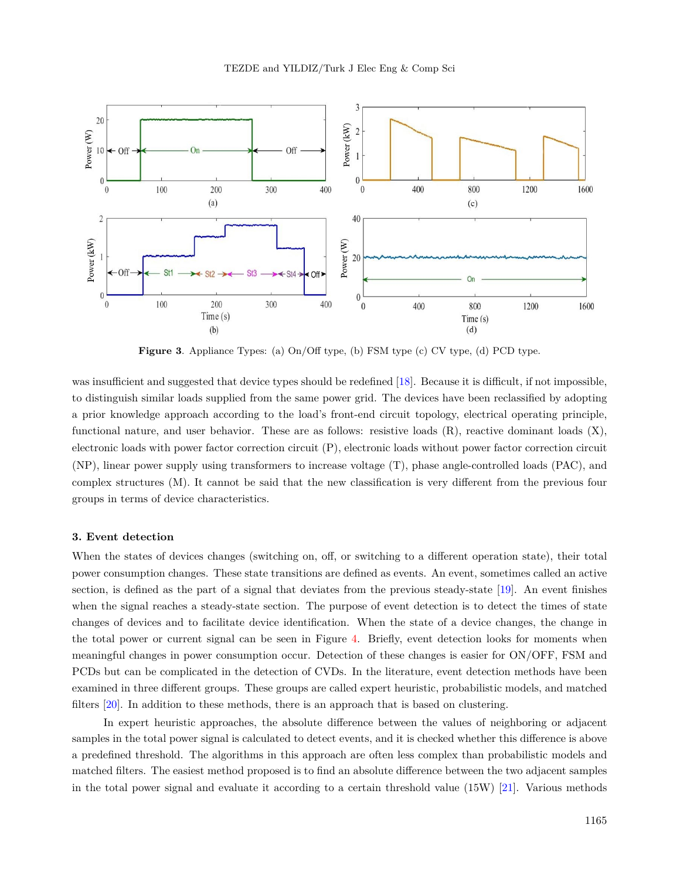

<span id="page-4-1"></span>**Figure 3**. Appliance Types: (a) On/Off type, (b) FSM type (c) CV type, (d) PCD type.

was insufficient and suggested that device types should be redefined [\[18](#page-19-15)]. Because it is difficult, if not impossible, to distinguish similar loads supplied from the same power grid. The devices have been reclassified by adopting a prior knowledge approach according to the load's front-end circuit topology, electrical operating principle, functional nature, and user behavior. These are as follows: resistive loads (R), reactive dominant loads (X), electronic loads with power factor correction circuit (P), electronic loads without power factor correction circuit (NP), linear power supply using transformers to increase voltage (T), phase angle-controlled loads (PAC), and complex structures (M). It cannot be said that the new classification is very different from the previous four groups in terms of device characteristics.

# <span id="page-4-0"></span>**3. Event detection**

When the states of devices changes (switching on, off, or switching to a different operation state), their total power consumption changes. These state transitions are defined as events. An event, sometimes called an active section, is defined as the part of a signal that deviates from the previous steady-state [\[19](#page-19-16)]. An event finishes when the signal reaches a steady-state section. The purpose of event detection is to detect the times of state changes of devices and to facilitate device identification. When the state of a device changes, the change in the total power or current signal can be seen in Figure [4.](#page-5-0) Briefly, event detection looks for moments when meaningful changes in power consumption occur. Detection of these changes is easier for ON/OFF, FSM and PCDs but can be complicated in the detection of CVDs. In the literature, event detection methods have been examined in three different groups. These groups are called expert heuristic, probabilistic models, and matched filters [\[20](#page-19-17)]. In addition to these methods, there is an approach that is based on clustering.

In expert heuristic approaches, the absolute difference between the values of neighboring or adjacent samples in the total power signal is calculated to detect events, and it is checked whether this difference is above a predefined threshold. The algorithms in this approach are often less complex than probabilistic models and matched filters. The easiest method proposed is to find an absolute difference between the two adjacent samples in the total power signal and evaluate it according to a certain threshold value (15W) [\[21](#page-20-0)]. Various methods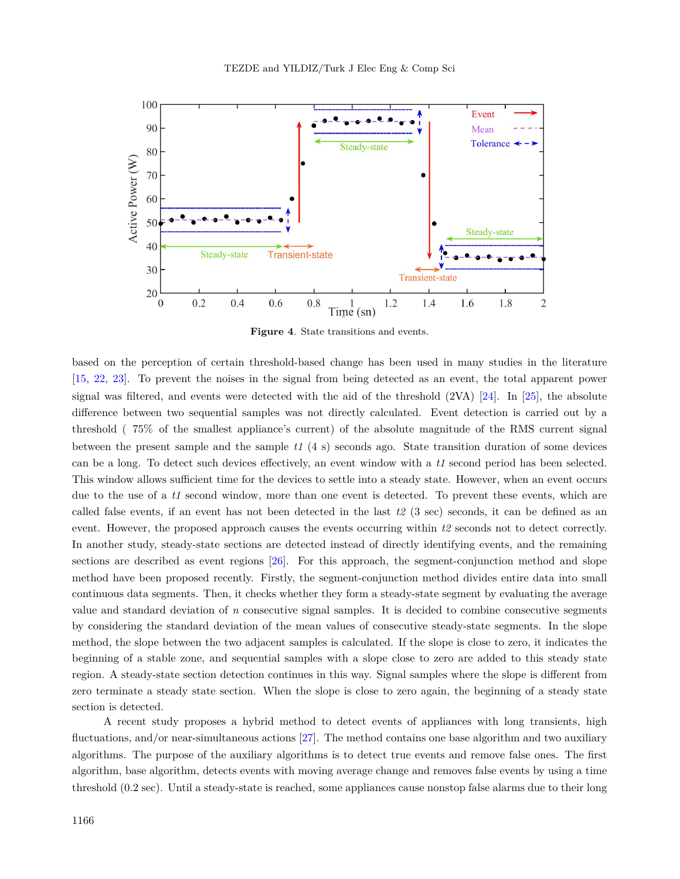

<span id="page-5-0"></span>**Figure 4**. State transitions and events.

based on the perception of certain threshold-based change has been used in many studies in the literature [[15,](#page-19-12) [22,](#page-20-1) [23\]](#page-20-2). To prevent the noises in the signal from being detected as an event, the total apparent power signal was filtered, and events were detected with the aid of the threshold (2VA) [\[24](#page-20-3)]. In [[25\]](#page-20-4), the absolute difference between two sequential samples was not directly calculated. Event detection is carried out by a threshold ( 75% of the smallest appliance's current) of the absolute magnitude of the RMS current signal between the present sample and the sample *t1* (4 s) seconds ago. State transition duration of some devices can be a long. To detect such devices effectively, an event window with a *t1* second period has been selected. This window allows sufficient time for the devices to settle into a steady state. However, when an event occurs due to the use of a *t1* second window, more than one event is detected. To prevent these events, which are called false events, if an event has not been detected in the last *t2* (3 sec) seconds, it can be defined as an event. However, the proposed approach causes the events occurring within *t2* seconds not to detect correctly. In another study, steady-state sections are detected instead of directly identifying events, and the remaining sections are described as event regions [[26\]](#page-20-5). For this approach, the segment-conjunction method and slope method have been proposed recently. Firstly, the segment-conjunction method divides entire data into small continuous data segments. Then, it checks whether they form a steady-state segment by evaluating the average value and standard deviation of *n* consecutive signal samples. It is decided to combine consecutive segments by considering the standard deviation of the mean values of consecutive steady-state segments. In the slope method, the slope between the two adjacent samples is calculated. If the slope is close to zero, it indicates the beginning of a stable zone, and sequential samples with a slope close to zero are added to this steady state region. A steady-state section detection continues in this way. Signal samples where the slope is different from zero terminate a steady state section. When the slope is close to zero again, the beginning of a steady state section is detected.

A recent study proposes a hybrid method to detect events of appliances with long transients, high fluctuations, and/or near-simultaneous actions [\[27](#page-20-6)]. The method contains one base algorithm and two auxiliary algorithms. The purpose of the auxiliary algorithms is to detect true events and remove false ones. The first algorithm, base algorithm, detects events with moving average change and removes false events by using a time threshold (0.2 sec). Until a steady-state is reached, some appliances cause nonstop false alarms due to their long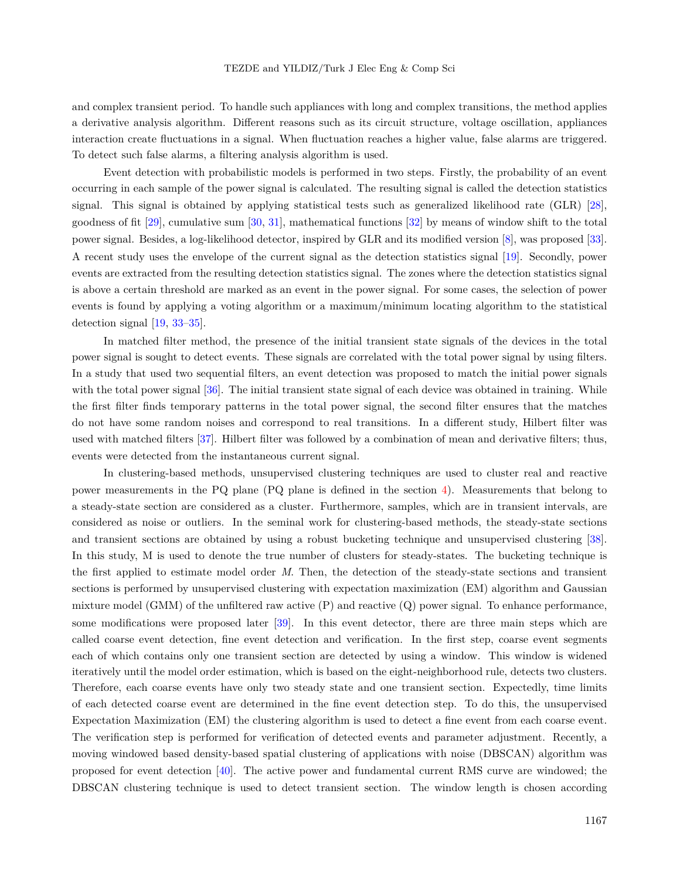and complex transient period. To handle such appliances with long and complex transitions, the method applies a derivative analysis algorithm. Different reasons such as its circuit structure, voltage oscillation, appliances interaction create fluctuations in a signal. When fluctuation reaches a higher value, false alarms are triggered. To detect such false alarms, a filtering analysis algorithm is used.

Event detection with probabilistic models is performed in two steps. Firstly, the probability of an event occurring in each sample of the power signal is calculated. The resulting signal is called the detection statistics signal. This signal is obtained by applying statistical tests such as generalized likelihood rate (GLR) [\[28](#page-20-7)], goodness of fit [\[29](#page-20-8)], cumulative sum [[30,](#page-20-9) [31\]](#page-20-10), mathematical functions [\[32](#page-20-11)] by means of window shift to the total power signal. Besides, a log-likelihood detector, inspired by GLR and its modified version [[8\]](#page-19-6), was proposed [\[33](#page-20-12)]. A recent study uses the envelope of the current signal as the detection statistics signal [\[19](#page-19-16)]. Secondly, power events are extracted from the resulting detection statistics signal. The zones where the detection statistics signal is above a certain threshold are marked as an event in the power signal. For some cases, the selection of power events is found by applying a voting algorithm or a maximum/minimum locating algorithm to the statistical detection signal [\[19](#page-19-16), [33](#page-20-12)[–35](#page-20-13)].

In matched filter method, the presence of the initial transient state signals of the devices in the total power signal is sought to detect events. These signals are correlated with the total power signal by using filters. In a study that used two sequential filters, an event detection was proposed to match the initial power signals with the total power signal [\[36](#page-20-14)]. The initial transient state signal of each device was obtained in training. While the first filter finds temporary patterns in the total power signal, the second filter ensures that the matches do not have some random noises and correspond to real transitions. In a different study, Hilbert filter was used with matched filters [\[37](#page-20-15)]. Hilbert filter was followed by a combination of mean and derivative filters; thus, events were detected from the instantaneous current signal.

In clustering-based methods, unsupervised clustering techniques are used to cluster real and reactive power measurements in the PQ plane (PQ plane is defined in the section [4\)](#page-7-0). Measurements that belong to a steady-state section are considered as a cluster. Furthermore, samples, which are in transient intervals, are considered as noise or outliers. In the seminal work for clustering-based methods, the steady-state sections and transient sections are obtained by using a robust bucketing technique and unsupervised clustering [\[38](#page-20-16)]. In this study, M is used to denote the true number of clusters for steady-states. The bucketing technique is the first applied to estimate model order *M*. Then, the detection of the steady-state sections and transient sections is performed by unsupervised clustering with expectation maximization (EM) algorithm and Gaussian mixture model (GMM) of the unfiltered raw active  $(P)$  and reactive  $(Q)$  power signal. To enhance performance, some modifications were proposed later [\[39](#page-20-17)]. In this event detector, there are three main steps which are called coarse event detection, fine event detection and verification. In the first step, coarse event segments each of which contains only one transient section are detected by using a window. This window is widened iteratively until the model order estimation, which is based on the eight-neighborhood rule, detects two clusters. Therefore, each coarse events have only two steady state and one transient section. Expectedly, time limits of each detected coarse event are determined in the fine event detection step. To do this, the unsupervised Expectation Maximization (EM) the clustering algorithm is used to detect a fine event from each coarse event. The verification step is performed for verification of detected events and parameter adjustment. Recently, a moving windowed based density-based spatial clustering of applications with noise (DBSCAN) algorithm was proposed for event detection [\[40](#page-20-18)]. The active power and fundamental current RMS curve are windowed; the DBSCAN clustering technique is used to detect transient section. The window length is chosen according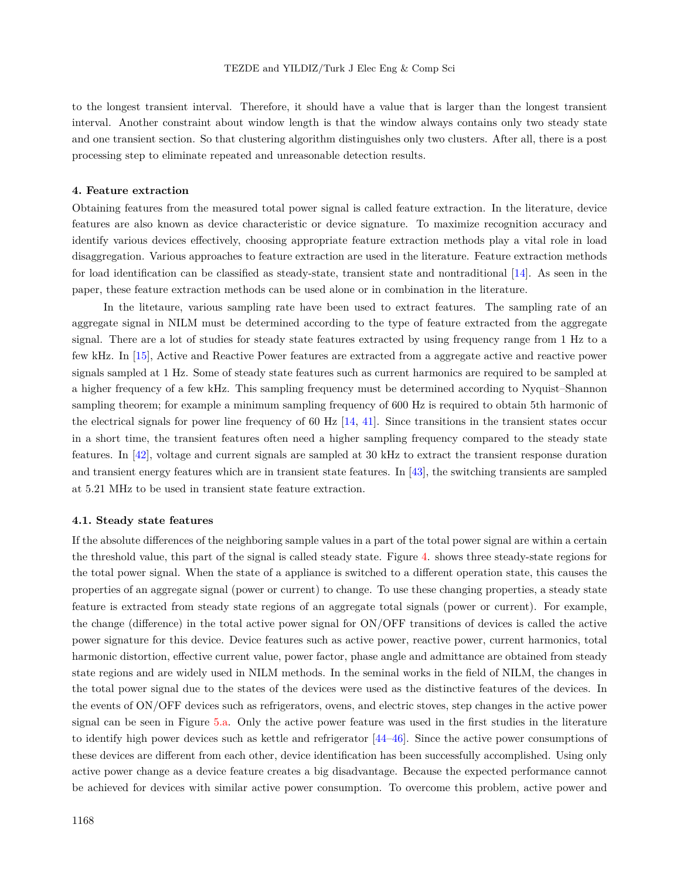to the longest transient interval. Therefore, it should have a value that is larger than the longest transient interval. Another constraint about window length is that the window always contains only two steady state and one transient section. So that clustering algorithm distinguishes only two clusters. After all, there is a post processing step to eliminate repeated and unreasonable detection results.

# <span id="page-7-0"></span>**4. Feature extraction**

Obtaining features from the measured total power signal is called feature extraction. In the literature, device features are also known as device characteristic or device signature. To maximize recognition accuracy and identify various devices effectively, choosing appropriate feature extraction methods play a vital role in load disaggregation. Various approaches to feature extraction are used in the literature. Feature extraction methods for load identification can be classified as steady-state, transient state and nontraditional [\[14](#page-19-11)]. As seen in the paper, these feature extraction methods can be used alone or in combination in the literature.

In the litetaure, various sampling rate have been used to extract features. The sampling rate of an aggregate signal in NILM must be determined according to the type of feature extracted from the aggregate signal. There are a lot of studies for steady state features extracted by using frequency range from 1 Hz to a few kHz. In [\[15](#page-19-12)], Active and Reactive Power features are extracted from a aggregate active and reactive power signals sampled at 1 Hz. Some of steady state features such as current harmonics are required to be sampled at a higher frequency of a few kHz. This sampling frequency must be determined according to Nyquist–Shannon sampling theorem; for example a minimum sampling frequency of 600 Hz is required to obtain 5th harmonic of the electrical signals for power line frequency of 60 Hz  $[14, 41]$  $[14, 41]$  $[14, 41]$ . Since transitions in the transient states occur in a short time, the transient features often need a higher sampling frequency compared to the steady state features. In [[42\]](#page-21-1), voltage and current signals are sampled at 30 kHz to extract the transient response duration and transient energy features which are in transient state features. In [[43\]](#page-21-2), the switching transients are sampled at 5.21 MHz to be used in transient state feature extraction.

#### **4.1. Steady state features**

If the absolute differences of the neighboring sample values in a part of the total power signal are within a certain the threshold value, this part of the signal is called steady state. Figure [4.](#page-5-0) shows three steady-state regions for the total power signal. When the state of a appliance is switched to a different operation state, this causes the properties of an aggregate signal (power or current) to change. To use these changing properties, a steady state feature is extracted from steady state regions of an aggregate total signals (power or current). For example, the change (difference) in the total active power signal for ON/OFF transitions of devices is called the active power signature for this device. Device features such as active power, reactive power, current harmonics, total harmonic distortion, effective current value, power factor, phase angle and admittance are obtained from steady state regions and are widely used in NILM methods. In the seminal works in the field of NILM, the changes in the total power signal due to the states of the devices were used as the distinctive features of the devices. In the events of ON/OFF devices such as refrigerators, ovens, and electric stoves, step changes in the active power signal can be seen in Figure [5](#page-8-0).a. Only the active power feature was used in the first studies in the literature to identify high power devices such as kettle and refrigerator [\[44](#page-21-3)[–46](#page-21-4)]. Since the active power consumptions of these devices are different from each other, device identification has been successfully accomplished. Using only active power change as a device feature creates a big disadvantage. Because the expected performance cannot be achieved for devices with similar active power consumption. To overcome this problem, active power and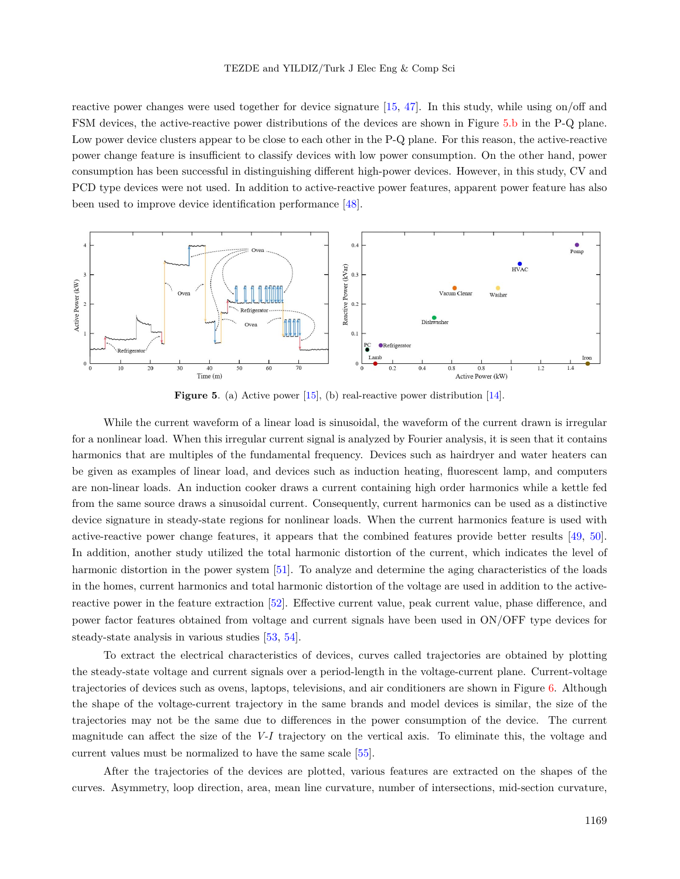reactive power changes were used together for device signature [[15,](#page-19-12) [47](#page-21-5)]. In this study, while using on/off and FSM devices, the active-reactive power distributions of the devices are shown in Figure [5](#page-8-0).b in the P-Q plane. Low power device clusters appear to be close to each other in the P-Q plane. For this reason, the active-reactive power change feature is insufficient to classify devices with low power consumption. On the other hand, power consumption has been successful in distinguishing different high-power devices. However, in this study, CV and PCD type devices were not used. In addition to active-reactive power features, apparent power feature has also been used to improve device identification performance [\[48](#page-21-6)].



<span id="page-8-0"></span>**Figure 5**. (a) Active power [[15\]](#page-19-12), (b) real-reactive power distribution [\[14\]](#page-19-11).

While the current waveform of a linear load is sinusoidal, the waveform of the current drawn is irregular for a nonlinear load. When this irregular current signal is analyzed by Fourier analysis, it is seen that it contains harmonics that are multiples of the fundamental frequency. Devices such as hairdryer and water heaters can be given as examples of linear load, and devices such as induction heating, fluorescent lamp, and computers are non-linear loads. An induction cooker draws a current containing high order harmonics while a kettle fed from the same source draws a sinusoidal current. Consequently, current harmonics can be used as a distinctive device signature in steady-state regions for nonlinear loads. When the current harmonics feature is used with active-reactive power change features, it appears that the combined features provide better results [\[49](#page-21-7), [50](#page-21-8)]. In addition, another study utilized the total harmonic distortion of the current, which indicates the level of harmonic distortion in the power system [[51\]](#page-21-9). To analyze and determine the aging characteristics of the loads in the homes, current harmonics and total harmonic distortion of the voltage are used in addition to the activereactive power in the feature extraction [[52\]](#page-21-10). Effective current value, peak current value, phase difference, and power factor features obtained from voltage and current signals have been used in ON/OFF type devices for steady-state analysis in various studies [[53,](#page-21-11) [54\]](#page-21-12).

To extract the electrical characteristics of devices, curves called trajectories are obtained by plotting the steady-state voltage and current signals over a period-length in the voltage-current plane. Current-voltage trajectories of devices such as ovens, laptops, televisions, and air conditioners are shown in Figure [6.](#page-9-0) Although the shape of the voltage-current trajectory in the same brands and model devices is similar, the size of the trajectories may not be the same due to differences in the power consumption of the device. The current magnitude can affect the size of the *V-I* trajectory on the vertical axis. To eliminate this, the voltage and current values must be normalized to have the same scale [\[55](#page-21-13)].

After the trajectories of the devices are plotted, various features are extracted on the shapes of the curves. Asymmetry, loop direction, area, mean line curvature, number of intersections, mid-section curvature,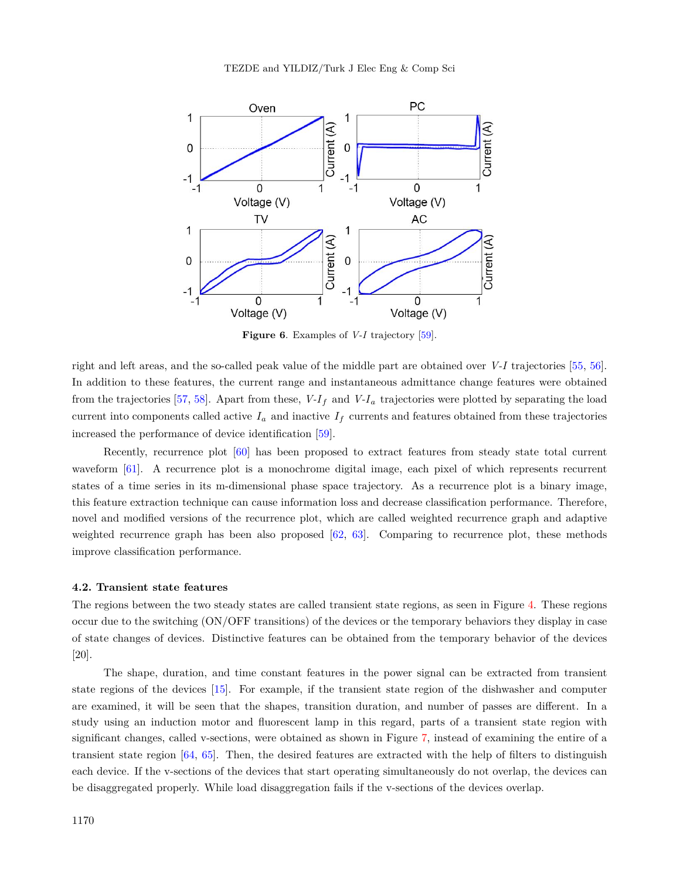

<span id="page-9-0"></span>**Figure 6**. Examples of *V-I* trajectory [\[59](#page-21-14)].

right and left areas, and the so-called peak value of the middle part are obtained over *V-I* trajectories [\[55](#page-21-13), [56](#page-21-15)]. In addition to these features, the current range and instantaneous admittance change features were obtained from the trajectories [\[57](#page-21-16), [58\]](#page-21-17). Apart from these,  $V-I_f$  and  $V-I_a$  trajectories were plotted by separating the load current into components called active  $I_a$  and inactive  $I_f$  currents and features obtained from these trajectories increased the performance of device identification [[59\]](#page-21-14).

Recently, recurrence plot [[60\]](#page-22-0) has been proposed to extract features from steady state total current waveform [[61\]](#page-22-1). A recurrence plot is a monochrome digital image, each pixel of which represents recurrent states of a time series in its m-dimensional phase space trajectory. As a recurrence plot is a binary image, this feature extraction technique can cause information loss and decrease classification performance. Therefore, novel and modified versions of the recurrence plot, which are called weighted recurrence graph and adaptive weighted recurrence graph has been also proposed  $[62, 63]$  $[62, 63]$  $[62, 63]$  $[62, 63]$  $[62, 63]$ . Comparing to recurrence plot, these methods improve classification performance.

#### **4.2. Transient state features**

The regions between the two steady states are called transient state regions, as seen in Figure [4](#page-5-0). These regions occur due to the switching (ON/OFF transitions) of the devices or the temporary behaviors they display in case of state changes of devices. Distinctive features can be obtained from the temporary behavior of the devices [20].

The shape, duration, and time constant features in the power signal can be extracted from transient state regions of the devices [[15\]](#page-19-12). For example, if the transient state region of the dishwasher and computer are examined, it will be seen that the shapes, transition duration, and number of passes are different. In a study using an induction motor and fluorescent lamp in this regard, parts of a transient state region with significant changes, called v-sections, were obtained as shown in Figure [7,](#page-10-0) instead of examining the entire of a transient state region [\[64](#page-22-4), [65\]](#page-22-5). Then, the desired features are extracted with the help of filters to distinguish each device. If the v-sections of the devices that start operating simultaneously do not overlap, the devices can be disaggregated properly. While load disaggregation fails if the v-sections of the devices overlap.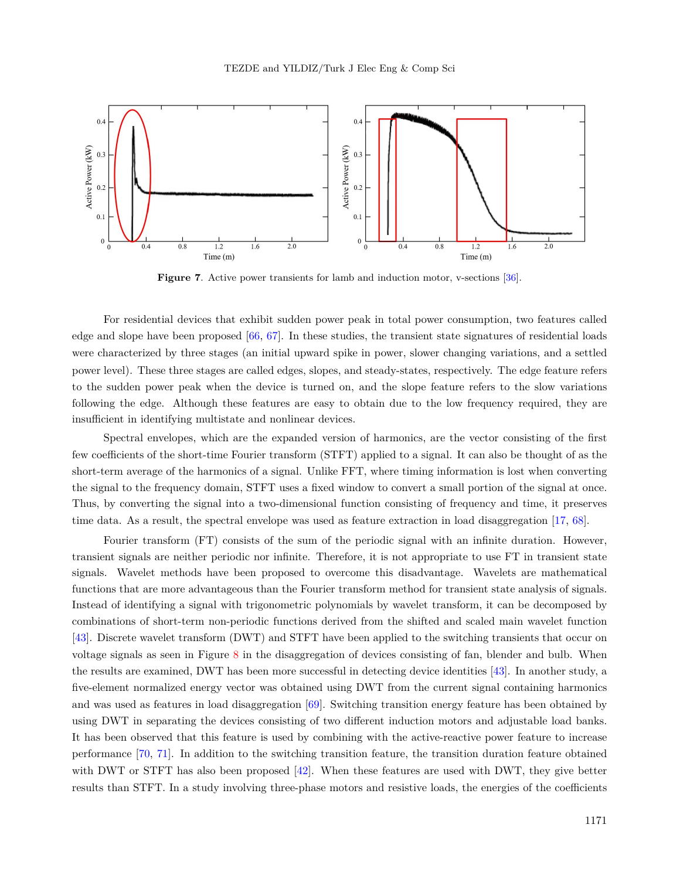

<span id="page-10-0"></span>**Figure 7**. Active power transients for lamb and induction motor, v-sections [[36\]](#page-20-14).

For residential devices that exhibit sudden power peak in total power consumption, two features called edge and slope have been proposed  $[66, 67]$  $[66, 67]$  $[66, 67]$ . In these studies, the transient state signatures of residential loads were characterized by three stages (an initial upward spike in power, slower changing variations, and a settled power level). These three stages are called edges, slopes, and steady-states, respectively. The edge feature refers to the sudden power peak when the device is turned on, and the slope feature refers to the slow variations following the edge. Although these features are easy to obtain due to the low frequency required, they are insufficient in identifying multistate and nonlinear devices.

Spectral envelopes, which are the expanded version of harmonics, are the vector consisting of the first few coefficients of the short-time Fourier transform (STFT) applied to a signal. It can also be thought of as the short-term average of the harmonics of a signal. Unlike FFT, where timing information is lost when converting the signal to the frequency domain, STFT uses a fixed window to convert a small portion of the signal at once. Thus, by converting the signal into a two-dimensional function consisting of frequency and time, it preserves time data. As a result, the spectral envelope was used as feature extraction in load disaggregation [[17,](#page-19-14) [68\]](#page-22-8).

Fourier transform (FT) consists of the sum of the periodic signal with an infinite duration. However, transient signals are neither periodic nor infinite. Therefore, it is not appropriate to use FT in transient state signals. Wavelet methods have been proposed to overcome this disadvantage. Wavelets are mathematical functions that are more advantageous than the Fourier transform method for transient state analysis of signals. Instead of identifying a signal with trigonometric polynomials by wavelet transform, it can be decomposed by combinations of short-term non-periodic functions derived from the shifted and scaled main wavelet function [[43\]](#page-21-2). Discrete wavelet transform (DWT) and STFT have been applied to the switching transients that occur on voltage signals as seen in Figure [8](#page-11-0) in the disaggregation of devices consisting of fan, blender and bulb. When the results are examined, DWT has been more successful in detecting device identities [\[43](#page-21-2)]. In another study, a five-element normalized energy vector was obtained using DWT from the current signal containing harmonics and was used as features in load disaggregation [[69\]](#page-22-9). Switching transition energy feature has been obtained by using DWT in separating the devices consisting of two different induction motors and adjustable load banks. It has been observed that this feature is used by combining with the active-reactive power feature to increase performance [\[70](#page-22-10), [71](#page-22-11)]. In addition to the switching transition feature, the transition duration feature obtained with DWT or STFT has also been proposed [[42\]](#page-21-1). When these features are used with DWT, they give better results than STFT. In a study involving three-phase motors and resistive loads, the energies of the coefficients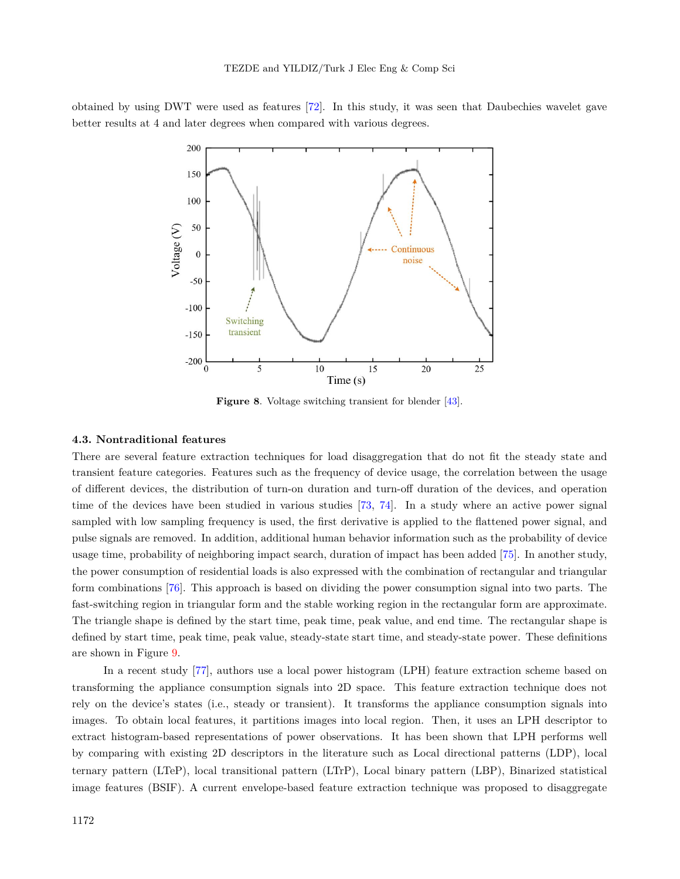obtained by using DWT were used as features [[72\]](#page-22-12). In this study, it was seen that Daubechies wavelet gave better results at 4 and later degrees when compared with various degrees.



<span id="page-11-0"></span>**Figure 8**. Voltage switching transient for blender [[43\]](#page-21-2).

# **4.3. Nontraditional features**

There are several feature extraction techniques for load disaggregation that do not fit the steady state and transient feature categories. Features such as the frequency of device usage, the correlation between the usage of different devices, the distribution of turn-on duration and turn-off duration of the devices, and operation time of the devices have been studied in various studies [[73,](#page-22-13) [74\]](#page-22-14). In a study where an active power signal sampled with low sampling frequency is used, the first derivative is applied to the flattened power signal, and pulse signals are removed. In addition, additional human behavior information such as the probability of device usage time, probability of neighboring impact search, duration of impact has been added [[75\]](#page-22-15). In another study, the power consumption of residential loads is also expressed with the combination of rectangular and triangular form combinations [[76\]](#page-22-16). This approach is based on dividing the power consumption signal into two parts. The fast-switching region in triangular form and the stable working region in the rectangular form are approximate. The triangle shape is defined by the start time, peak time, peak value, and end time. The rectangular shape is defined by start time, peak time, peak value, steady-state start time, and steady-state power. These definitions are shown in Figure [9.](#page-12-1)

In a recent study[[77\]](#page-22-17), authors use a local power histogram (LPH) feature extraction scheme based on transforming the appliance consumption signals into 2D space. This feature extraction technique does not rely on the device's states (i.e., steady or transient). It transforms the appliance consumption signals into images. To obtain local features, it partitions images into local region. Then, it uses an LPH descriptor to extract histogram-based representations of power observations. It has been shown that LPH performs well by comparing with existing 2D descriptors in the literature such as Local directional patterns (LDP), local ternary pattern (LTeP), local transitional pattern (LTrP), Local binary pattern (LBP), Binarized statistical image features (BSIF). A current envelope-based feature extraction technique was proposed to disaggregate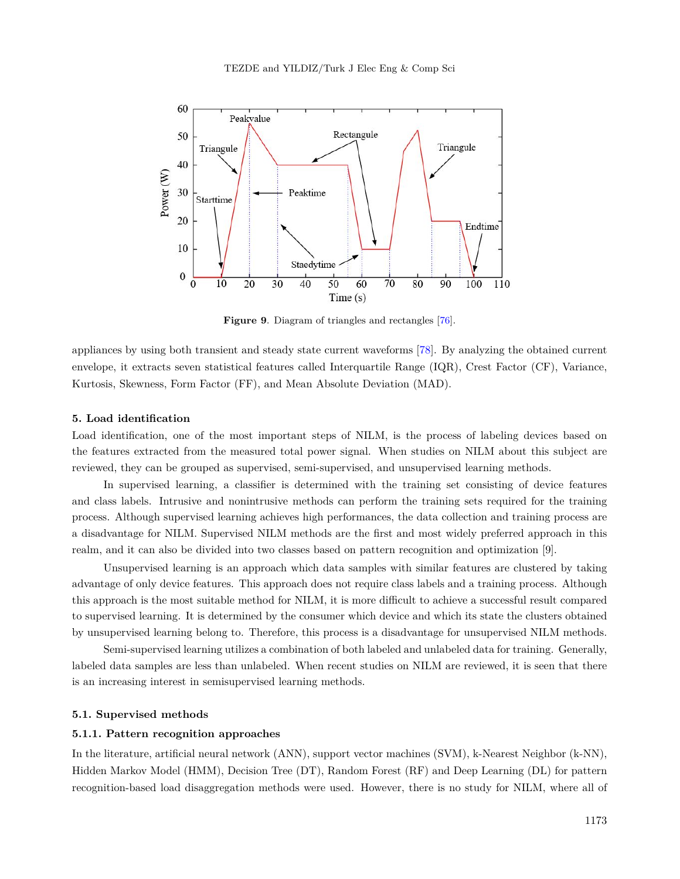

<span id="page-12-1"></span>**Figure 9**. Diagram of triangles and rectangles [\[76](#page-22-16)].

appliances by using both transient and steady state current waveforms [[78\]](#page-22-18). By analyzing the obtained current envelope, it extracts seven statistical features called Interquartile Range (IQR), Crest Factor (CF), Variance, Kurtosis, Skewness, Form Factor (FF), and Mean Absolute Deviation (MAD).

## <span id="page-12-0"></span>**5. Load identification**

Load identification, one of the most important steps of NILM, is the process of labeling devices based on the features extracted from the measured total power signal. When studies on NILM about this subject are reviewed, they can be grouped as supervised, semi-supervised, and unsupervised learning methods.

In supervised learning, a classifier is determined with the training set consisting of device features and class labels. Intrusive and nonintrusive methods can perform the training sets required for the training process. Although supervised learning achieves high performances, the data collection and training process are a disadvantage for NILM. Supervised NILM methods are the first and most widely preferred approach in this realm, and it can also be divided into two classes based on pattern recognition and optimization [9].

Unsupervised learning is an approach which data samples with similar features are clustered by taking advantage of only device features. This approach does not require class labels and a training process. Although this approach is the most suitable method for NILM, it is more difficult to achieve a successful result compared to supervised learning. It is determined by the consumer which device and which its state the clusters obtained by unsupervised learning belong to. Therefore, this process is a disadvantage for unsupervised NILM methods.

Semi-supervised learning utilizes a combination of both labeled and unlabeled data for training. Generally, labeled data samples are less than unlabeled. When recent studies on NILM are reviewed, it is seen that there is an increasing interest in semisupervised learning methods.

# **5.1. Supervised methods**

# **5.1.1. Pattern recognition approaches**

In the literature, artificial neural network (ANN), support vector machines (SVM), k-Nearest Neighbor (k-NN), Hidden Markov Model (HMM), Decision Tree (DT), Random Forest (RF) and Deep Learning (DL) for pattern recognition-based load disaggregation methods were used. However, there is no study for NILM, where all of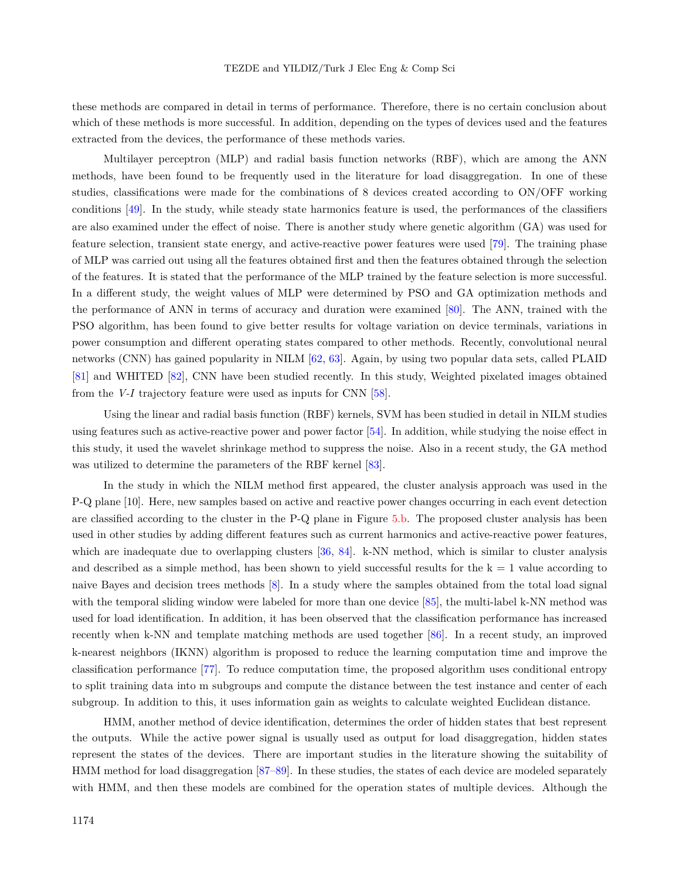these methods are compared in detail in terms of performance. Therefore, there is no certain conclusion about which of these methods is more successful. In addition, depending on the types of devices used and the features extracted from the devices, the performance of these methods varies.

Multilayer perceptron (MLP) and radial basis function networks (RBF), which are among the ANN methods, have been found to be frequently used in the literature for load disaggregation. In one of these studies, classifications were made for the combinations of 8 devices created according to ON/OFF working conditions [[49\]](#page-21-7). In the study, while steady state harmonics feature is used, the performances of the classifiers are also examined under the effect of noise. There is another study where genetic algorithm (GA) was used for feature selection, transient state energy, and active-reactive power features were used [[79\]](#page-22-19). The training phase of MLP was carried out using all the features obtained first and then the features obtained through the selection of the features. It is stated that the performance of the MLP trained by the feature selection is more successful. In a different study, the weight values of MLP were determined by PSO and GA optimization methods and the performance of ANN in terms of accuracy and duration were examined [[80\]](#page-23-0). The ANN, trained with the PSO algorithm, has been found to give better results for voltage variation on device terminals, variations in power consumption and different operating states compared to other methods. Recently, convolutional neural networks (CNN) has gained popularity in NILM [\[62](#page-22-2), [63](#page-22-3)]. Again, by using two popular data sets, called PLAID [[81\]](#page-23-1) and WHITED [[82\]](#page-23-2), CNN have been studied recently. In this study, Weighted pixelated images obtained from the *V-I* trajectory feature were used as inputs for CNN [[58\]](#page-21-17).

Using the linear and radial basis function (RBF) kernels, SVM has been studied in detail in NILM studies using features such as active-reactive power and power factor [[54\]](#page-21-12). In addition, while studying the noise effect in this study, it used the wavelet shrinkage method to suppress the noise. Also in a recent study, the GA method was utilized to determine the parameters of the RBF kernel [[83\]](#page-23-3).

In the study in which the NILM method first appeared, the cluster analysis approach was used in the P-Q plane [10]. Here, new samples based on active and reactive power changes occurring in each event detection are classified according to the cluster in the P-Q plane in Figure [5](#page-8-0).b. The proposed cluster analysis has been used in other studies by adding different features such as current harmonics and active-reactive power features, which are inadequate due to overlapping clusters [\[36](#page-20-14), [84\]](#page-23-4). k-NN method, which is similar to cluster analysis and described as a simple method, has been shown to yield successful results for the  $k = 1$  value according to naive Bayes and decision trees methods [[8\]](#page-19-6). In a study where the samples obtained from the total load signal withthe temporal sliding window were labeled for more than one device [[85\]](#page-23-5), the multi-label k-NN method was used for load identification. In addition, it has been observed that the classification performance has increased recently when k-NN and template matching methods are used together [[86\]](#page-23-6). In a recent study, an improved k-nearest neighbors (IKNN) algorithm is proposed to reduce the learning computation time and improve the classification performance [\[77](#page-22-17)]. To reduce computation time, the proposed algorithm uses conditional entropy to split training data into m subgroups and compute the distance between the test instance and center of each subgroup. In addition to this, it uses information gain as weights to calculate weighted Euclidean distance.

HMM, another method of device identification, determines the order of hidden states that best represent the outputs. While the active power signal is usually used as output for load disaggregation, hidden states represent the states of the devices. There are important studies in the literature showing the suitability of HMM method for load disaggregation [\[87](#page-23-7)[–89](#page-23-8)]. In these studies, the states of each device are modeled separately with HMM, and then these models are combined for the operation states of multiple devices. Although the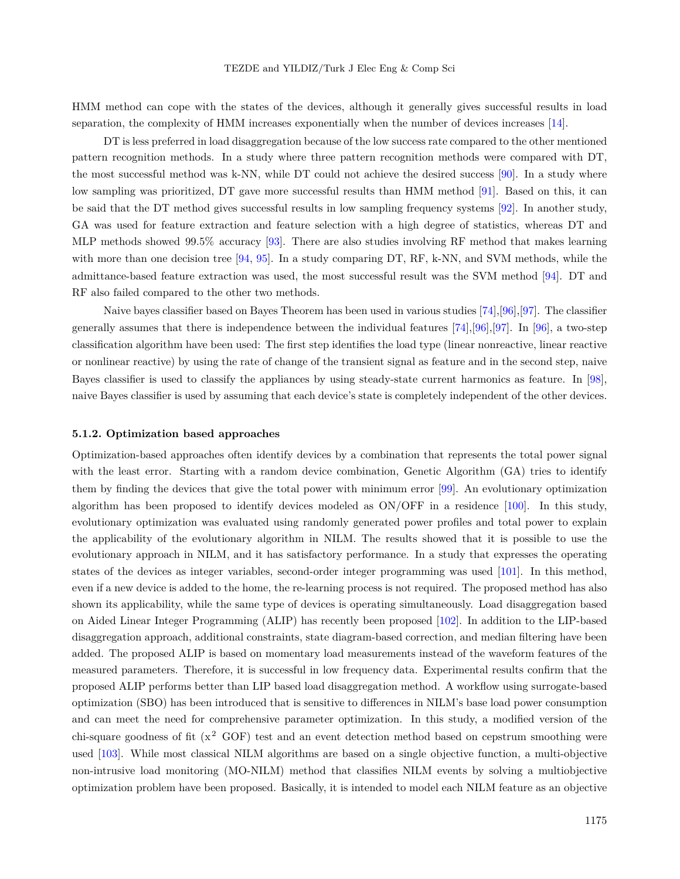HMM method can cope with the states of the devices, although it generally gives successful results in load separation, the complexity of HMM increases exponentially when the number of devices increases [\[14](#page-19-11)].

DT is less preferred in load disaggregation because of the low success rate compared to the other mentioned pattern recognition methods. In a study where three pattern recognition methods were compared with DT, the most successful method was k-NN, while DT could not achieve the desired success [\[90](#page-23-9)]. In a study where low sampling was prioritized, DT gave more successful results than HMM method [[91\]](#page-23-10). Based on this, it can be said that the DT method gives successful results in low sampling frequency systems [\[92](#page-23-11)]. In another study, GA was used for feature extraction and feature selection with a high degree of statistics, whereas DT and MLP methods showed 99*.*5% accuracy [[93\]](#page-23-12). There are also studies involving RF method that makes learning with more than one decision tree [[94,](#page-23-13) [95\]](#page-23-14). In a study comparing DT, RF, k-NN, and SVM methods, while the admittance-based feature extraction was used, the most successful result was the SVM method [\[94\]](#page-23-13). DT and RF also failed compared to the other two methods.

Naive bayes classifier based on Bayes Theorem has been used in various studies [\[74](#page-22-14)],[[96\]](#page-23-15),[[97\]](#page-23-16). The classifier generally assumes that there is independence between the individual features  $[74],[96],[97]$  $[74],[96],[97]$  $[74],[96],[97]$  $[74],[96],[97]$  $[74],[96],[97]$  $[74],[96],[97]$  $[74],[96],[97]$ . In [[96](#page-23-15)], a two-step classification algorithm have been used: The first step identifies the load type (linear nonreactive, linear reactive or nonlinear reactive) by using the rate of change of the transient signal as feature and in the second step, naive Bayes classifier is used to classify the appliances by using steady-state current harmonics as feature. In [\[98](#page-24-0)], naive Bayes classifier is used by assuming that each device's state is completely independent of the other devices.

## **5.1.2. Optimization based approaches**

Optimization-based approaches often identify devices by a combination that represents the total power signal with the least error. Starting with a random device combination, Genetic Algorithm (GA) tries to identify them by finding the devices that give the total power with minimum error [[99](#page-24-1)]. An evolutionary optimization algorithm has been proposed to identify devices modeled as ON/OFF in a residence [[100\]](#page-24-2). In this study, evolutionary optimization was evaluated using randomly generated power profiles and total power to explain the applicability of the evolutionary algorithm in NILM. The results showed that it is possible to use the evolutionary approach in NILM, and it has satisfactory performance. In a study that expresses the operating states of the devices as integer variables, second-order integer programming was used [[101\]](#page-24-3). In this method, even if a new device is added to the home, the re-learning process is not required. The proposed method has also shown its applicability, while the same type of devices is operating simultaneously. Load disaggregation based on Aided Linear Integer Programming (ALIP) has recently been proposed [[102\]](#page-24-4). In addition to the LIP-based disaggregation approach, additional constraints, state diagram-based correction, and median filtering have been added. The proposed ALIP is based on momentary load measurements instead of the waveform features of the measured parameters. Therefore, it is successful in low frequency data. Experimental results confirm that the proposed ALIP performs better than LIP based load disaggregation method. A workflow using surrogate-based optimization (SBO) has been introduced that is sensitive to differences in NILM's base load power consumption and can meet the need for comprehensive parameter optimization. In this study, a modified version of the chi-square goodness of fit  $(x^2$  GOF) test and an event detection method based on cepstrum smoothing were used [[103\]](#page-24-5). While most classical NILM algorithms are based on a single objective function, a multi-objective non-intrusive load monitoring (MO-NILM) method that classifies NILM events by solving a multiobjective optimization problem have been proposed. Basically, it is intended to model each NILM feature as an objective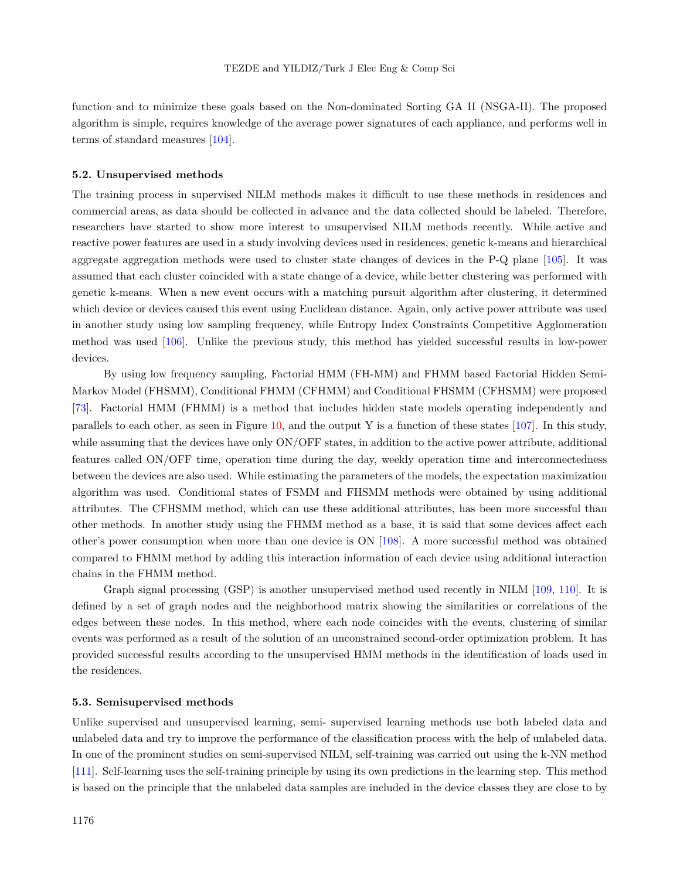function and to minimize these goals based on the Non-dominated Sorting GA II (NSGA-II). The proposed algorithm is simple, requires knowledge of the average power signatures of each appliance, and performs well in terms of standard measures [\[104](#page-24-6)].

#### **5.2. Unsupervised methods**

The training process in supervised NILM methods makes it difficult to use these methods in residences and commercial areas, as data should be collected in advance and the data collected should be labeled. Therefore, researchers have started to show more interest to unsupervised NILM methods recently. While active and reactive power features are used in a study involving devices used in residences, genetic k-means and hierarchical aggregate aggregation methods were used to cluster state changes of devices in the P-Q plane[[105\]](#page-24-7). It was assumed that each cluster coincided with a state change of a device, while better clustering was performed with genetic k-means. When a new event occurs with a matching pursuit algorithm after clustering, it determined which device or devices caused this event using Euclidean distance. Again, only active power attribute was used in another study using low sampling frequency, while Entropy Index Constraints Competitive Agglomeration method was used [\[106](#page-24-8)]. Unlike the previous study, this method has yielded successful results in low-power devices.

By using low frequency sampling, Factorial HMM (FH-MM) and FHMM based Factorial Hidden Semi-Markov Model (FHSMM), Conditional FHMM (CFHMM) and Conditional FHSMM (CFHSMM) were proposed [[73\]](#page-22-13). Factorial HMM (FHMM) is a method that includes hidden state models operating independently and parallels to each other, as seen in Figure [10,](#page-16-1) and the output Y is a function of these states [\[107](#page-24-9)]. In this study, while assuming that the devices have only  $ON/OFF$  states, in addition to the active power attribute, additional features called ON/OFF time, operation time during the day, weekly operation time and interconnectedness between the devices are also used. While estimating the parameters of the models, the expectation maximization algorithm was used. Conditional states of FSMM and FHSMM methods were obtained by using additional attributes. The CFHSMM method, which can use these additional attributes, has been more successful than other methods. In another study using the FHMM method as a base, it is said that some devices affect each other's power consumption when more than one device is ON [\[108](#page-24-10)]. A more successful method was obtained compared to FHMM method by adding this interaction information of each device using additional interaction chains in the FHMM method.

Graph signal processing (GSP) is another unsupervised method used recently in NILM [\[109](#page-24-11), [110](#page-24-12)]. It is defined by a set of graph nodes and the neighborhood matrix showing the similarities or correlations of the edges between these nodes. In this method, where each node coincides with the events, clustering of similar events was performed as a result of the solution of an unconstrained second-order optimization problem. It has provided successful results according to the unsupervised HMM methods in the identification of loads used in the residences.

# **5.3. Semisupervised methods**

Unlike supervised and unsupervised learning, semi- supervised learning methods use both labeled data and unlabeled data and try to improve the performance of the classification process with the help of unlabeled data. In one of the prominent studies on semi-supervised NILM, self-training was carried out using the k-NN method [[111\]](#page-24-13). Self-learning uses the self-training principle by using its own predictions in the learning step. This method is based on the principle that the unlabeled data samples are included in the device classes they are close to by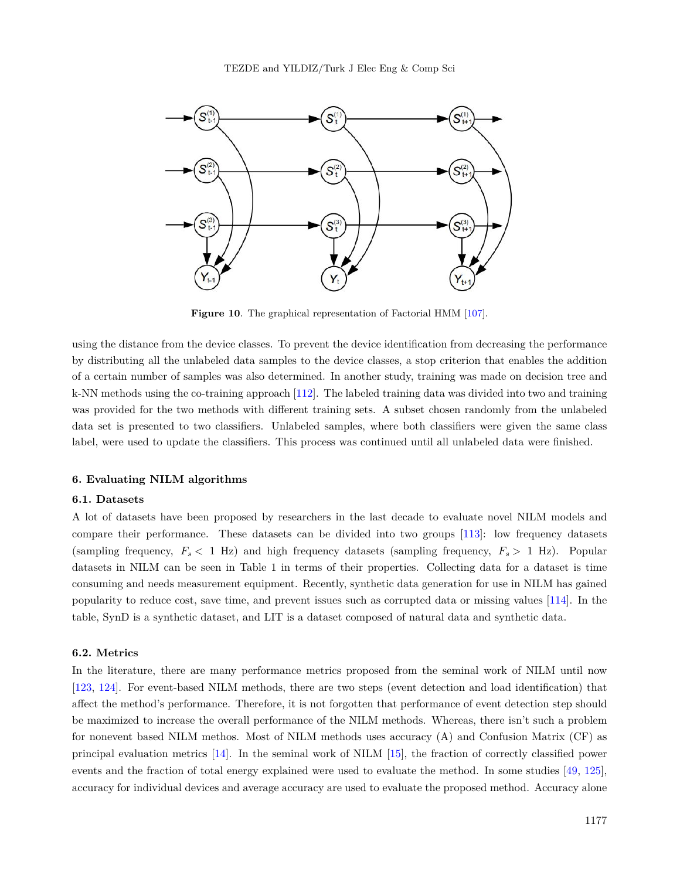

<span id="page-16-1"></span>**Figure 10**. The graphical representation of Factorial HMM [[107](#page-24-9)].

using the distance from the device classes. To prevent the device identification from decreasing the performance by distributing all the unlabeled data samples to the device classes, a stop criterion that enables the addition of a certain number of samples was also determined. In another study, training was made on decision tree and k-NN methods using the co-training approach [[112\]](#page-24-14). The labeled training data was divided into two and training was provided for the two methods with different training sets. A subset chosen randomly from the unlabeled data set is presented to two classifiers. Unlabeled samples, where both classifiers were given the same class label, were used to update the classifiers. This process was continued until all unlabeled data were finished.

#### <span id="page-16-0"></span>**6. Evaluating NILM algorithms**

## **6.1. Datasets**

A lot of datasets have been proposed by researchers in the last decade to evaluate novel NILM models and compare their performance. These datasets can be divided into two groups [\[113](#page-24-15)]: low frequency datasets (sampling frequency,  $F_s < 1$  Hz) and high frequency datasets (sampling frequency,  $F_s > 1$  Hz). Popular datasets in NILM can be seen in Table 1 in terms of their properties. Collecting data for a dataset is time consuming and needs measurement equipment. Recently, synthetic data generation for use in NILM has gained popularity to reduce cost, save time, and prevent issues such as corrupted data or missing values [\[114](#page-24-16)]. In the table, SynD is a synthetic dataset, and LIT is a dataset composed of natural data and synthetic data.

## **6.2. Metrics**

In the literature, there are many performance metrics proposed from the seminal work of NILM until now [[123,](#page-25-0) [124](#page-25-1)]. For event-based NILM methods, there are two steps (event detection and load identification) that affect the method's performance. Therefore, it is not forgotten that performance of event detection step should be maximized to increase the overall performance of the NILM methods. Whereas, there isn't such a problem for nonevent based NILM methos. Most of NILM methods uses accuracy (A) and Confusion Matrix (CF) as principal evaluation metrics [\[14](#page-19-11)]. In the seminal work of NILM [\[15](#page-19-12)], the fraction of correctly classified power events and the fraction of total energy explained were used to evaluate the method. In some studies [\[49](#page-21-7), [125](#page-25-2)], accuracy for individual devices and average accuracy are used to evaluate the proposed method. Accuracy alone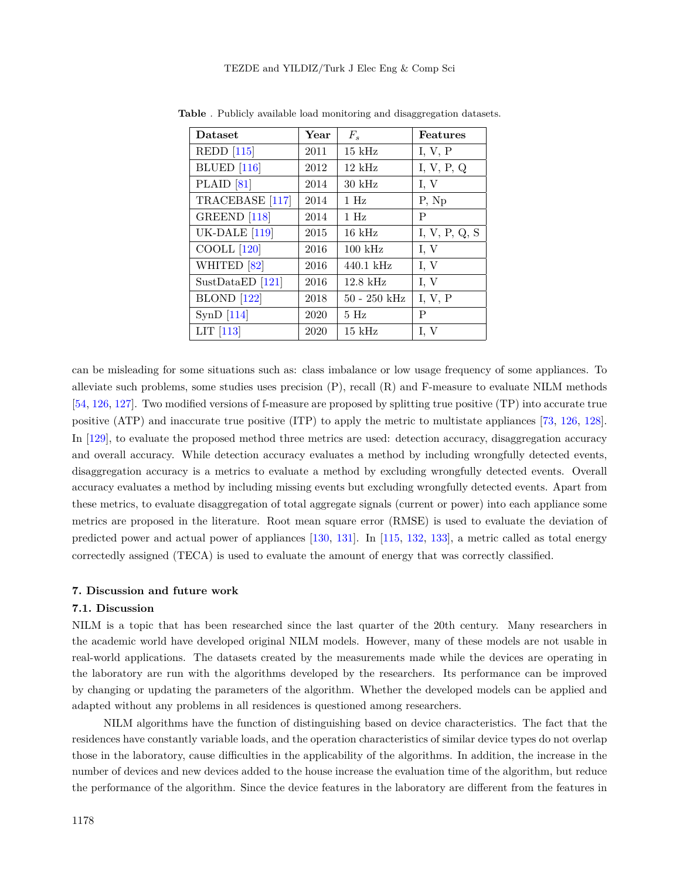| <b>Dataset</b>          | Year | $F_s$            | <b>Features</b> |
|-------------------------|------|------------------|-----------------|
| $REDD$ [115]            | 2011 | $15$ kHz         | I, V, P         |
| <b>BLUED</b> [116]      | 2012 | $12 \text{ kHz}$ | I, V, P, Q      |
| PLAID $[81]$            | 2014 | $30 \text{ kHz}$ | I, V            |
| TRACEBASE [117]         | 2014 | $1$ Hz           | P, Np           |
| GREEND <sup>[118]</sup> | 2014 | $1$ Hz           | P               |
| <b>UK-DALE</b> [119]    | 2015 | $16$ kHz         | I, V, P, Q, S   |
| COOLL <sup>[120]</sup>  | 2016 | $100$ kHz        | I, V            |
| WHITED <sup>[82]</sup>  | 2016 | $440.1$ kHz      | I, V            |
| SustDataED $[121]$      | 2016 | $12.8$ kHz       | I, V            |
| <b>BLOND</b> [122]      | 2018 | $50 - 250$ kHz   | I, V, P         |
| SynD $[114]$            | 2020 | 5Hz              | P               |
| LIT $[113]$             | 2020 | $15$ kHz         | I, V            |

**Table** . Publicly available load monitoring and disaggregation datasets.

can be misleading for some situations such as: class imbalance or low usage frequency of some appliances. To alleviate such problems, some studies uses precision (P), recall (R) and F-measure to evaluate NILM methods [[54,](#page-21-12) [126,](#page-25-8) [127](#page-25-9)]. Two modified versions of f-measure are proposed by splitting true positive (TP) into accurate true positive (ATP) and inaccurate true positive (ITP) to apply the metric to multistate appliances [[73,](#page-22-13) [126](#page-25-8), [128](#page-25-10)]. In [\[129](#page-25-11)], to evaluate the proposed method three metrics are used: detection accuracy, disaggregation accuracy and overall accuracy. While detection accuracy evaluates a method by including wrongfully detected events, disaggregation accuracy is a metrics to evaluate a method by excluding wrongfully detected events. Overall accuracy evaluates a method by including missing events but excluding wrongfully detected events. Apart from these metrics, to evaluate disaggregation of total aggregate signals (current or power) into each appliance some metrics are proposed in the literature. Root mean square error (RMSE) is used to evaluate the deviation of predicted power and actual power of appliances [[130,](#page-25-12) [131](#page-25-13)]. In [\[115](#page-24-17), [132,](#page-25-14) [133\]](#page-25-15), a metric called as total energy correctedly assigned (TECA) is used to evaluate the amount of energy that was correctly classified.

# <span id="page-17-0"></span>**7. Discussion and future work**

#### **7.1. Discussion**

NILM is a topic that has been researched since the last quarter of the 20th century. Many researchers in the academic world have developed original NILM models. However, many of these models are not usable in real-world applications. The datasets created by the measurements made while the devices are operating in the laboratory are run with the algorithms developed by the researchers. Its performance can be improved by changing or updating the parameters of the algorithm. Whether the developed models can be applied and adapted without any problems in all residences is questioned among researchers.

NILM algorithms have the function of distinguishing based on device characteristics. The fact that the residences have constantly variable loads, and the operation characteristics of similar device types do not overlap those in the laboratory, cause difficulties in the applicability of the algorithms. In addition, the increase in the number of devices and new devices added to the house increase the evaluation time of the algorithm, but reduce the performance of the algorithm. Since the device features in the laboratory are different from the features in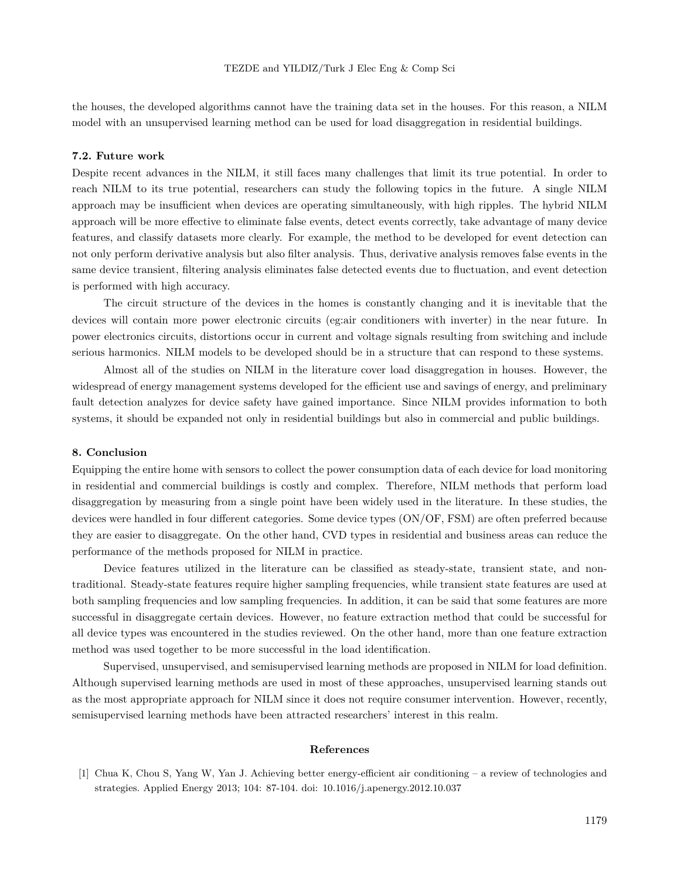the houses, the developed algorithms cannot have the training data set in the houses. For this reason, a NILM model with an unsupervised learning method can be used for load disaggregation in residential buildings.

#### **7.2. Future work**

Despite recent advances in the NILM, it still faces many challenges that limit its true potential. In order to reach NILM to its true potential, researchers can study the following topics in the future. A single NILM approach may be insufficient when devices are operating simultaneously, with high ripples. The hybrid NILM approach will be more effective to eliminate false events, detect events correctly, take advantage of many device features, and classify datasets more clearly. For example, the method to be developed for event detection can not only perform derivative analysis but also filter analysis. Thus, derivative analysis removes false events in the same device transient, filtering analysis eliminates false detected events due to fluctuation, and event detection is performed with high accuracy.

The circuit structure of the devices in the homes is constantly changing and it is inevitable that the devices will contain more power electronic circuits (eg:air conditioners with inverter) in the near future. In power electronics circuits, distortions occur in current and voltage signals resulting from switching and include serious harmonics. NILM models to be developed should be in a structure that can respond to these systems.

Almost all of the studies on NILM in the literature cover load disaggregation in houses. However, the widespread of energy management systems developed for the efficient use and savings of energy, and preliminary fault detection analyzes for device safety have gained importance. Since NILM provides information to both systems, it should be expanded not only in residential buildings but also in commercial and public buildings.

# <span id="page-18-1"></span>**8. Conclusion**

Equipping the entire home with sensors to collect the power consumption data of each device for load monitoring in residential and commercial buildings is costly and complex. Therefore, NILM methods that perform load disaggregation by measuring from a single point have been widely used in the literature. In these studies, the devices were handled in four different categories. Some device types (ON/OF, FSM) are often preferred because they are easier to disaggregate. On the other hand, CVD types in residential and business areas can reduce the performance of the methods proposed for NILM in practice.

Device features utilized in the literature can be classified as steady-state, transient state, and nontraditional. Steady-state features require higher sampling frequencies, while transient state features are used at both sampling frequencies and low sampling frequencies. In addition, it can be said that some features are more successful in disaggregate certain devices. However, no feature extraction method that could be successful for all device types was encountered in the studies reviewed. On the other hand, more than one feature extraction method was used together to be more successful in the load identification.

Supervised, unsupervised, and semisupervised learning methods are proposed in NILM for load definition. Although supervised learning methods are used in most of these approaches, unsupervised learning stands out as the most appropriate approach for NILM since it does not require consumer intervention. However, recently, semisupervised learning methods have been attracted researchers' interest in this realm.

## **References**

<span id="page-18-0"></span><sup>[1]</sup> Chua K, Chou S, Yang W, Yan J. Achieving better energy-efficient air conditioning – a review of technologies and strategies. Applied Energy 2013; 104: 87-104. doi: 10.1016/j.apenergy.2012.10.037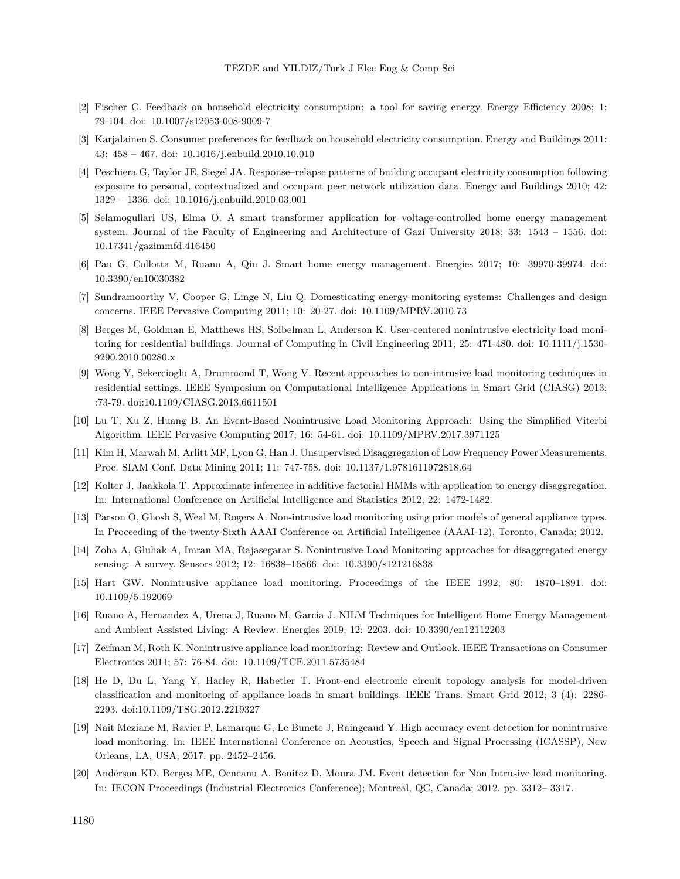- <span id="page-19-0"></span>[2] Fischer C. Feedback on household electricity consumption: a tool for saving energy. Energy Efficiency 2008; 1: 79-104. doi: 10.1007/s12053-008-9009-7
- <span id="page-19-1"></span>[3] Karjalainen S. Consumer preferences for feedback on household electricity consumption. Energy and Buildings 2011; 43: 458 – 467. doi: 10.1016/j.enbuild.2010.10.010
- <span id="page-19-2"></span>[4] Peschiera G, Taylor JE, Siegel JA. Response–relapse patterns of building occupant electricity consumption following exposure to personal, contextualized and occupant peer network utilization data. Energy and Buildings 2010; 42: 1329 – 1336. doi: 10.1016/j.enbuild.2010.03.001
- <span id="page-19-3"></span>[5] Selamogullari US, Elma O. A smart transformer application for voltage-controlled home energy management system. Journal of the Faculty of Engineering and Architecture of Gazi University 2018; 33: 1543 – 1556. doi: 10.17341/gazimmfd.416450
- <span id="page-19-4"></span>[6] Pau G, Collotta M, Ruano A, Qin J. Smart home energy management. Energies 2017; 10: 39970-39974. doi: 10.3390/en10030382
- <span id="page-19-5"></span>[7] Sundramoorthy V, Cooper G, Linge N, Liu Q. Domesticating energy-monitoring systems: Challenges and design concerns. IEEE Pervasive Computing 2011; 10: 20-27. doi: 10.1109/MPRV.2010.73
- <span id="page-19-6"></span>[8] Berges M, Goldman E, Matthews HS, Soibelman L, Anderson K. User-centered nonintrusive electricity load monitoring for residential buildings. Journal of Computing in Civil Engineering 2011; 25: 471-480. doi: 10.1111/j.1530- 9290.2010.00280.x
- <span id="page-19-7"></span>[9] Wong Y, Sekercioglu A, Drummond T, Wong V. Recent approaches to non-intrusive load monitoring techniques in residential settings. IEEE Symposium on Computational Intelligence Applications in Smart Grid (CIASG) 2013; :73-79. doi:10.1109/CIASG.2013.6611501
- <span id="page-19-8"></span>[10] Lu T, Xu Z, Huang B. An Event-Based Nonintrusive Load Monitoring Approach: Using the Simplified Viterbi Algorithm. IEEE Pervasive Computing 2017; 16: 54-61. doi: 10.1109/MPRV.2017.3971125
- <span id="page-19-9"></span>[11] Kim H, Marwah M, Arlitt MF, Lyon G, Han J. Unsupervised Disaggregation of Low Frequency Power Measurements. Proc. SIAM Conf. Data Mining 2011; 11: 747-758. doi: 10.1137/1.9781611972818.64
- [12] Kolter J, Jaakkola T. Approximate inference in additive factorial HMMs with application to energy disaggregation. In: International Conference on Artificial Intelligence and Statistics 2012; 22: 1472-1482.
- <span id="page-19-10"></span>[13] Parson O, Ghosh S, Weal M, Rogers A. Non-intrusive load monitoring using prior models of general appliance types. In Proceeding of the twenty-Sixth AAAI Conference on Artificial Intelligence (AAAI-12), Toronto, Canada; 2012.
- <span id="page-19-11"></span>[14] Zoha A, Gluhak A, Imran MA, Rajasegarar S. Nonintrusive Load Monitoring approaches for disaggregated energy sensing: A survey. Sensors 2012; 12: 16838–16866. doi: 10.3390/s121216838
- <span id="page-19-12"></span>[15] Hart GW. Nonintrusive appliance load monitoring. Proceedings of the IEEE 1992; 80: 1870–1891. doi: 10.1109/5.192069
- <span id="page-19-13"></span>[16] Ruano A, Hernandez A, Urena J, Ruano M, Garcia J. NILM Techniques for Intelligent Home Energy Management and Ambient Assisted Living: A Review. Energies 2019; 12: 2203. doi: 10.3390/en12112203
- <span id="page-19-14"></span>[17] Zeifman M, Roth K. Nonintrusive appliance load monitoring: Review and Outlook. IEEE Transactions on Consumer Electronics 2011; 57: 76-84. doi: 10.1109/TCE.2011.5735484
- <span id="page-19-15"></span>[18] He D, Du L, Yang Y, Harley R, Habetler T. Front-end electronic circuit topology analysis for model-driven classification and monitoring of appliance loads in smart buildings. IEEE Trans. Smart Grid 2012; 3 (4): 2286- 2293. doi:10.1109/TSG.2012.2219327
- <span id="page-19-16"></span>[19] Nait Meziane M, Ravier P, Lamarque G, Le Bunete J, Raingeaud Y. High accuracy event detection for nonintrusive load monitoring. In: IEEE International Conference on Acoustics, Speech and Signal Processing (ICASSP), New Orleans, LA, USA; 2017. pp. 2452–2456.
- <span id="page-19-17"></span>[20] Anderson KD, Berges ME, Ocneanu A, Benitez D, Moura JM. Event detection for Non Intrusive load monitoring. In: IECON Proceedings (Industrial Electronics Conference); Montreal, QC, Canada; 2012. pp. 3312– 3317.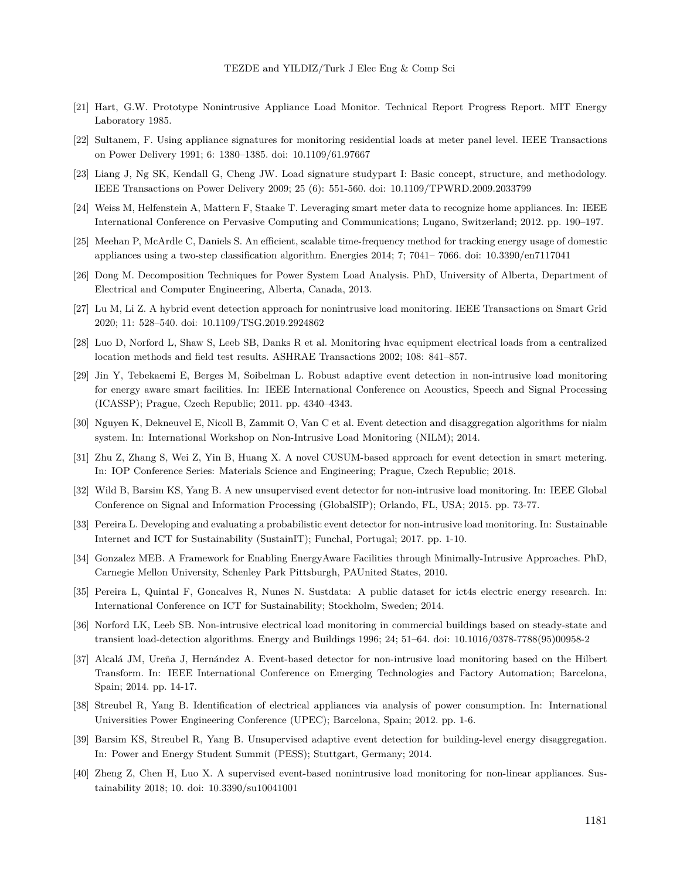- <span id="page-20-0"></span>[21] Hart, G.W. Prototype Nonintrusive Appliance Load Monitor. Technical Report Progress Report. MIT Energy Laboratory 1985.
- <span id="page-20-1"></span>[22] Sultanem, F. Using appliance signatures for monitoring residential loads at meter panel level. IEEE Transactions on Power Delivery 1991; 6: 1380–1385. doi: 10.1109/61.97667
- <span id="page-20-2"></span>[23] Liang J, Ng SK, Kendall G, Cheng JW. Load signature studypart I: Basic concept, structure, and methodology. IEEE Transactions on Power Delivery 2009; 25 (6): 551-560. doi: 10.1109/TPWRD.2009.2033799
- <span id="page-20-3"></span>[24] Weiss M, Helfenstein A, Mattern F, Staake T. Leveraging smart meter data to recognize home appliances. In: IEEE International Conference on Pervasive Computing and Communications; Lugano, Switzerland; 2012. pp. 190–197.
- <span id="page-20-4"></span>[25] Meehan P, McArdle C, Daniels S. An efficient, scalable time-frequency method for tracking energy usage of domestic appliances using a two-step classification algorithm. Energies 2014; 7; 7041– 7066. doi: 10.3390/en7117041
- <span id="page-20-5"></span>[26] Dong M. Decomposition Techniques for Power System Load Analysis. PhD, University of Alberta, Department of Electrical and Computer Engineering, Alberta, Canada, 2013.
- <span id="page-20-6"></span>[27] Lu M, Li Z. A hybrid event detection approach for nonintrusive load monitoring. IEEE Transactions on Smart Grid 2020; 11: 528–540. doi: 10.1109/TSG.2019.2924862
- <span id="page-20-7"></span>[28] Luo D, Norford L, Shaw S, Leeb SB, Danks R et al. Monitoring hvac equipment electrical loads from a centralized location methods and field test results. ASHRAE Transactions 2002; 108: 841–857.
- <span id="page-20-8"></span>[29] Jin Y, Tebekaemi E, Berges M, Soibelman L. Robust adaptive event detection in non-intrusive load monitoring for energy aware smart facilities. In: IEEE International Conference on Acoustics, Speech and Signal Processing (ICASSP); Prague, Czech Republic; 2011. pp. 4340–4343.
- <span id="page-20-9"></span>[30] Nguyen K, Dekneuvel E, Nicoll B, Zammit O, Van C et al. Event detection and disaggregation algorithms for nialm system. In: International Workshop on Non-Intrusive Load Monitoring (NILM); 2014.
- <span id="page-20-10"></span>[31] Zhu Z, Zhang S, Wei Z, Yin B, Huang X. A novel CUSUM-based approach for event detection in smart metering. In: IOP Conference Series: Materials Science and Engineering; Prague, Czech Republic; 2018.
- <span id="page-20-11"></span>[32] Wild B, Barsim KS, Yang B. A new unsupervised event detector for non-intrusive load monitoring. In: IEEE Global Conference on Signal and Information Processing (GlobalSIP); Orlando, FL, USA; 2015. pp. 73-77.
- <span id="page-20-12"></span>[33] Pereira L. Developing and evaluating a probabilistic event detector for non-intrusive load monitoring. In: Sustainable Internet and ICT for Sustainability (SustainIT); Funchal, Portugal; 2017. pp. 1-10.
- [34] Gonzalez MEB. A Framework for Enabling EnergyAware Facilities through Minimally-Intrusive Approaches. PhD, Carnegie Mellon University, Schenley Park Pittsburgh, PAUnited States, 2010.
- <span id="page-20-13"></span>[35] Pereira L, Quintal F, Goncalves R, Nunes N. Sustdata: A public dataset for ict4s electric energy research. In: International Conference on ICT for Sustainability; Stockholm, Sweden; 2014.
- <span id="page-20-14"></span>[36] Norford LK, Leeb SB. Non-intrusive electrical load monitoring in commercial buildings based on steady-state and transient load-detection algorithms. Energy and Buildings 1996; 24; 51–64. doi: 10.1016/0378-7788(95)00958-2
- <span id="page-20-15"></span>[37] Alcalá JM, Ureña J, Hernández A. Event-based detector for non-intrusive load monitoring based on the Hilbert Transform. In: IEEE International Conference on Emerging Technologies and Factory Automation; Barcelona, Spain; 2014. pp. 14-17.
- <span id="page-20-16"></span>[38] Streubel R, Yang B. Identification of electrical appliances via analysis of power consumption. In: International Universities Power Engineering Conference (UPEC); Barcelona, Spain; 2012. pp. 1-6.
- <span id="page-20-17"></span>[39] Barsim KS, Streubel R, Yang B. Unsupervised adaptive event detection for building-level energy disaggregation. In: Power and Energy Student Summit (PESS); Stuttgart, Germany; 2014.
- <span id="page-20-18"></span>[40] Zheng Z, Chen H, Luo X. A supervised event-based nonintrusive load monitoring for non-linear appliances. Sustainability 2018; 10. doi: 10.3390/su10041001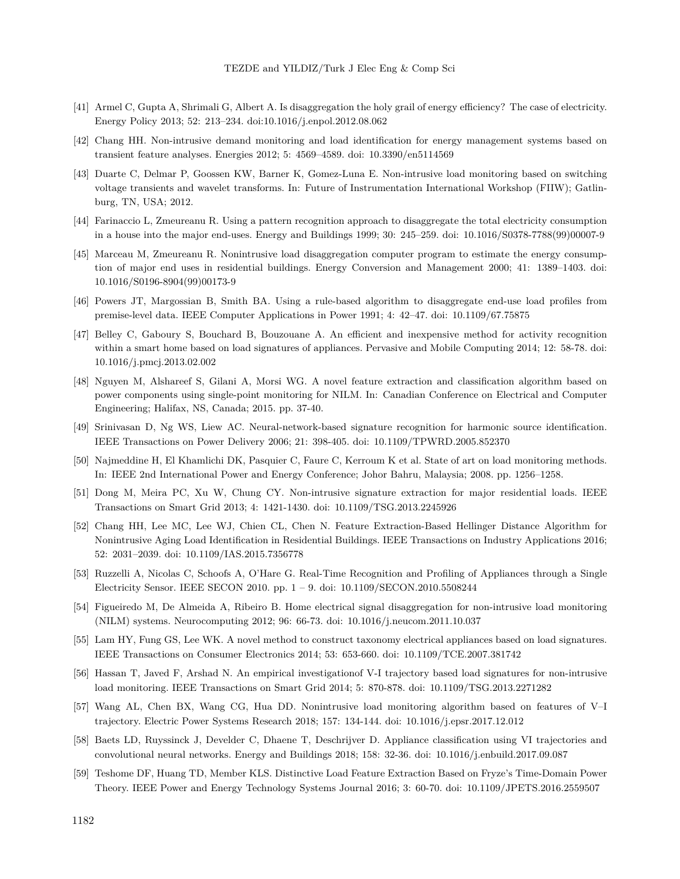- <span id="page-21-0"></span>[41] Armel C, Gupta A, Shrimali G, Albert A. Is disaggregation the holy grail of energy efficiency? The case of electricity. Energy Policy 2013; 52: 213–234. doi:10.1016/j.enpol.2012.08.062
- <span id="page-21-1"></span>[42] Chang HH. Non-intrusive demand monitoring and load identification for energy management systems based on transient feature analyses. Energies 2012; 5: 4569–4589. doi: 10.3390/en5114569
- <span id="page-21-2"></span>[43] Duarte C, Delmar P, Goossen KW, Barner K, Gomez-Luna E. Non-intrusive load monitoring based on switching voltage transients and wavelet transforms. In: Future of Instrumentation International Workshop (FIIW); Gatlinburg, TN, USA; 2012.
- <span id="page-21-3"></span>[44] Farinaccio L, Zmeureanu R. Using a pattern recognition approach to disaggregate the total electricity consumption in a house into the major end-uses. Energy and Buildings 1999; 30: 245–259. doi: 10.1016/S0378-7788(99)00007-9
- [45] Marceau M, Zmeureanu R. Nonintrusive load disaggregation computer program to estimate the energy consumption of major end uses in residential buildings. Energy Conversion and Management 2000; 41: 1389–1403. doi: 10.1016/S0196-8904(99)00173-9
- <span id="page-21-4"></span>[46] Powers JT, Margossian B, Smith BA. Using a rule-based algorithm to disaggregate end-use load profiles from premise-level data. IEEE Computer Applications in Power 1991; 4: 42–47. doi: 10.1109/67.75875
- <span id="page-21-5"></span>[47] Belley C, Gaboury S, Bouchard B, Bouzouane A. An efficient and inexpensive method for activity recognition within a smart home based on load signatures of appliances. Pervasive and Mobile Computing 2014; 12: 58-78. doi: 10.1016/j.pmcj.2013.02.002
- <span id="page-21-6"></span>[48] Nguyen M, Alshareef S, Gilani A, Morsi WG. A novel feature extraction and classification algorithm based on power components using single-point monitoring for NILM. In: Canadian Conference on Electrical and Computer Engineering; Halifax, NS, Canada; 2015. pp. 37-40.
- <span id="page-21-7"></span>[49] Srinivasan D, Ng WS, Liew AC. Neural-network-based signature recognition for harmonic source identification. IEEE Transactions on Power Delivery 2006; 21: 398-405. doi: 10.1109/TPWRD.2005.852370
- <span id="page-21-8"></span>[50] Najmeddine H, El Khamlichi DK, Pasquier C, Faure C, Kerroum K et al. State of art on load monitoring methods. In: IEEE 2nd International Power and Energy Conference; Johor Bahru, Malaysia; 2008. pp. 1256–1258.
- <span id="page-21-9"></span>[51] Dong M, Meira PC, Xu W, Chung CY. Non-intrusive signature extraction for major residential loads. IEEE Transactions on Smart Grid 2013; 4: 1421-1430. doi: 10.1109/TSG.2013.2245926
- <span id="page-21-10"></span>[52] Chang HH, Lee MC, Lee WJ, Chien CL, Chen N. Feature Extraction-Based Hellinger Distance Algorithm for Nonintrusive Aging Load Identification in Residential Buildings. IEEE Transactions on Industry Applications 2016; 52: 2031–2039. doi: 10.1109/IAS.2015.7356778
- <span id="page-21-11"></span>[53] Ruzzelli A, Nicolas C, Schoofs A, O'Hare G. Real-Time Recognition and Profiling of Appliances through a Single Electricity Sensor. IEEE SECON 2010. pp. 1 – 9. doi: 10.1109/SECON.2010.5508244
- <span id="page-21-12"></span>[54] Figueiredo M, De Almeida A, Ribeiro B. Home electrical signal disaggregation for non-intrusive load monitoring (NILM) systems. Neurocomputing 2012; 96: 66-73. doi: 10.1016/j.neucom.2011.10.037
- <span id="page-21-13"></span>[55] Lam HY, Fung GS, Lee WK. A novel method to construct taxonomy electrical appliances based on load signatures. IEEE Transactions on Consumer Electronics 2014; 53: 653-660. doi: 10.1109/TCE.2007.381742
- <span id="page-21-15"></span>[56] Hassan T, Javed F, Arshad N. An empirical investigationof V-I trajectory based load signatures for non-intrusive load monitoring. IEEE Transactions on Smart Grid 2014; 5: 870-878. doi: 10.1109/TSG.2013.2271282
- <span id="page-21-16"></span>[57] Wang AL, Chen BX, Wang CG, Hua DD. Nonintrusive load monitoring algorithm based on features of V–I trajectory. Electric Power Systems Research 2018; 157: 134-144. doi: 10.1016/j.epsr.2017.12.012
- <span id="page-21-17"></span>[58] Baets LD, Ruyssinck J, Develder C, Dhaene T, Deschrijver D. Appliance classification using VI trajectories and convolutional neural networks. Energy and Buildings 2018; 158: 32-36. doi: 10.1016/j.enbuild.2017.09.087
- <span id="page-21-14"></span>[59] Teshome DF, Huang TD, Member KLS. Distinctive Load Feature Extraction Based on Fryze's Time-Domain Power Theory. IEEE Power and Energy Technology Systems Journal 2016; 3: 60-70. doi: 10.1109/JPETS.2016.2559507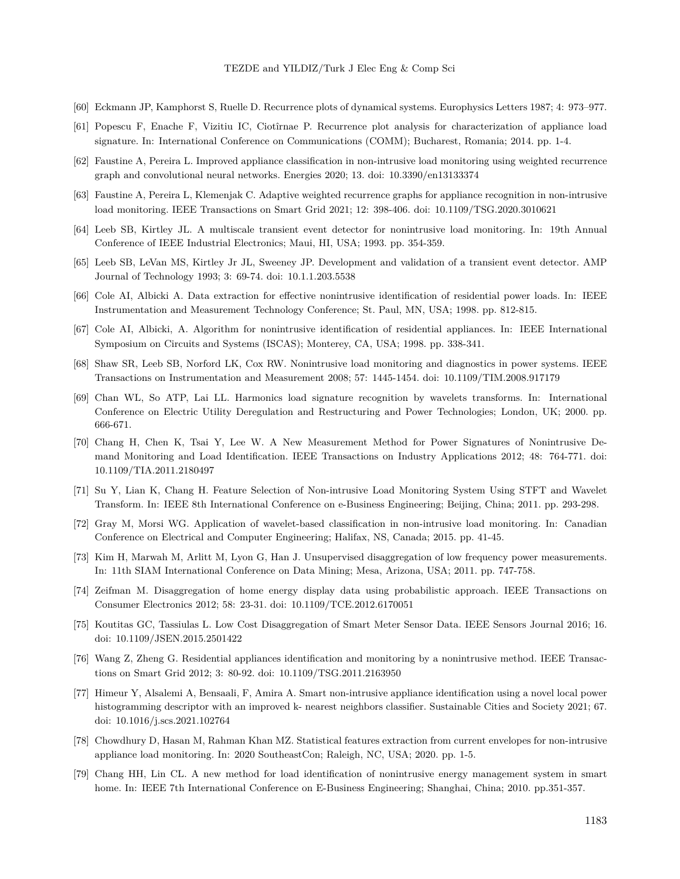- <span id="page-22-0"></span>[60] Eckmann JP, Kamphorst S, Ruelle D. Recurrence plots of dynamical systems. Europhysics Letters 1987; 4: 973–977.
- <span id="page-22-1"></span>[61] Popescu F, Enache F, Vizitiu IC, Ciotîrnae P. Recurrence plot analysis for characterization of appliance load signature. In: International Conference on Communications (COMM); Bucharest, Romania; 2014. pp. 1-4.
- <span id="page-22-2"></span>[62] Faustine A, Pereira L. Improved appliance classification in non-intrusive load monitoring using weighted recurrence graph and convolutional neural networks. Energies 2020; 13. doi: 10.3390/en13133374
- <span id="page-22-3"></span>[63] Faustine A, Pereira L, Klemenjak C. Adaptive weighted recurrence graphs for appliance recognition in non-intrusive load monitoring. IEEE Transactions on Smart Grid 2021; 12: 398-406. doi: 10.1109/TSG.2020.3010621
- <span id="page-22-4"></span>[64] Leeb SB, Kirtley JL. A multiscale transient event detector for nonintrusive load monitoring. In: 19th Annual Conference of IEEE Industrial Electronics; Maui, HI, USA; 1993. pp. 354-359.
- <span id="page-22-5"></span>[65] Leeb SB, LeVan MS, Kirtley Jr JL, Sweeney JP. Development and validation of a transient event detector. AMP Journal of Technology 1993; 3: 69-74. doi: 10.1.1.203.5538
- <span id="page-22-6"></span>[66] Cole AI, Albicki A. Data extraction for effective nonintrusive identification of residential power loads. In: IEEE Instrumentation and Measurement Technology Conference; St. Paul, MN, USA; 1998. pp. 812-815.
- <span id="page-22-7"></span>[67] Cole AI, Albicki, A. Algorithm for nonintrusive identification of residential appliances. In: IEEE International Symposium on Circuits and Systems (ISCAS); Monterey, CA, USA; 1998. pp. 338-341.
- <span id="page-22-8"></span>[68] Shaw SR, Leeb SB, Norford LK, Cox RW. Nonintrusive load monitoring and diagnostics in power systems. IEEE Transactions on Instrumentation and Measurement 2008; 57: 1445-1454. doi: 10.1109/TIM.2008.917179
- <span id="page-22-9"></span>[69] Chan WL, So ATP, Lai LL. Harmonics load signature recognition by wavelets transforms. In: International Conference on Electric Utility Deregulation and Restructuring and Power Technologies; London, UK; 2000. pp. 666-671.
- <span id="page-22-10"></span>[70] Chang H, Chen K, Tsai Y, Lee W. A New Measurement Method for Power Signatures of Nonintrusive Demand Monitoring and Load Identification. IEEE Transactions on Industry Applications 2012; 48: 764-771. doi: 10.1109/TIA.2011.2180497
- <span id="page-22-11"></span>[71] Su Y, Lian K, Chang H. Feature Selection of Non-intrusive Load Monitoring System Using STFT and Wavelet Transform. In: IEEE 8th International Conference on e-Business Engineering; Beijing, China; 2011. pp. 293-298.
- <span id="page-22-12"></span>[72] Gray M, Morsi WG. Application of wavelet-based classification in non-intrusive load monitoring. In: Canadian Conference on Electrical and Computer Engineering; Halifax, NS, Canada; 2015. pp. 41-45.
- <span id="page-22-13"></span>[73] Kim H, Marwah M, Arlitt M, Lyon G, Han J. Unsupervised disaggregation of low frequency power measurements. In: 11th SIAM International Conference on Data Mining; Mesa, Arizona, USA; 2011. pp. 747-758.
- <span id="page-22-14"></span>[74] Zeifman M. Disaggregation of home energy display data using probabilistic approach. IEEE Transactions on Consumer Electronics 2012; 58: 23-31. doi: 10.1109/TCE.2012.6170051
- <span id="page-22-15"></span>[75] Koutitas GC, Tassiulas L. Low Cost Disaggregation of Smart Meter Sensor Data. IEEE Sensors Journal 2016; 16. doi: 10.1109/JSEN.2015.2501422
- <span id="page-22-16"></span>[76] Wang Z, Zheng G. Residential appliances identification and monitoring by a nonintrusive method. IEEE Transactions on Smart Grid 2012; 3: 80-92. doi: 10.1109/TSG.2011.2163950
- <span id="page-22-17"></span>[77] Himeur Y, Alsalemi A, Bensaali, F, Amira A. Smart non-intrusive appliance identification using a novel local power histogramming descriptor with an improved k- nearest neighbors classifier. Sustainable Cities and Society 2021; 67. doi: 10.1016/j.scs.2021.102764
- <span id="page-22-18"></span>[78] Chowdhury D, Hasan M, Rahman Khan MZ. Statistical features extraction from current envelopes for non-intrusive appliance load monitoring. In: 2020 SoutheastCon; Raleigh, NC, USA; 2020. pp. 1-5.
- <span id="page-22-19"></span>[79] Chang HH, Lin CL. A new method for load identification of nonintrusive energy management system in smart home. In: IEEE 7th International Conference on E-Business Engineering; Shanghai, China; 2010. pp.351-357.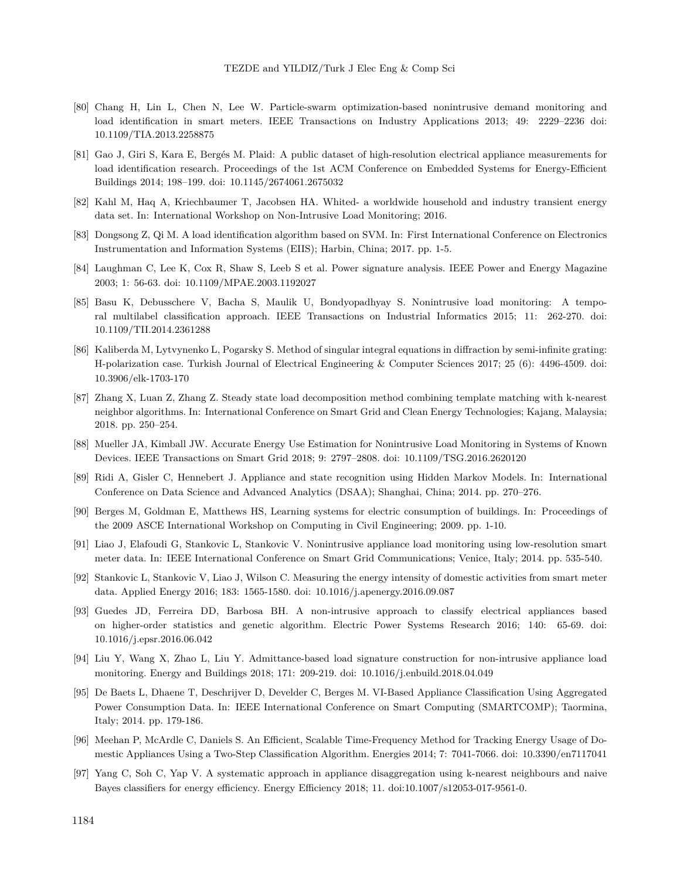- <span id="page-23-0"></span>[80] Chang H, Lin L, Chen N, Lee W. Particle-swarm optimization-based nonintrusive demand monitoring and load identification in smart meters. IEEE Transactions on Industry Applications 2013; 49: 2229–2236 doi: 10.1109/TIA.2013.2258875
- <span id="page-23-1"></span>[81] Gao J, Giri S, Kara E, Bergés M. Plaid: A public dataset of high-resolution electrical appliance measurements for load identification research. Proceedings of the 1st ACM Conference on Embedded Systems for Energy-Efficient Buildings 2014; 198–199. doi: 10.1145/2674061.2675032
- <span id="page-23-2"></span>[82] Kahl M, Haq A, Kriechbaumer T, Jacobsen HA. Whited- a worldwide household and industry transient energy data set. In: International Workshop on Non-Intrusive Load Monitoring; 2016.
- <span id="page-23-3"></span>[83] Dongsong Z, Qi M. A load identification algorithm based on SVM. In: First International Conference on Electronics Instrumentation and Information Systems (EIIS); Harbin, China; 2017. pp. 1-5.
- <span id="page-23-4"></span>[84] Laughman C, Lee K, Cox R, Shaw S, Leeb S et al. Power signature analysis. IEEE Power and Energy Magazine 2003; 1: 56-63. doi: 10.1109/MPAE.2003.1192027
- <span id="page-23-5"></span>[85] Basu K, Debusschere V, Bacha S, Maulik U, Bondyopadhyay S. Nonintrusive load monitoring: A temporal multilabel classification approach. IEEE Transactions on Industrial Informatics 2015; 11: 262-270. doi: 10.1109/TII.2014.2361288
- <span id="page-23-6"></span>[86] Kaliberda M, Lytvynenko L, Pogarsky S. Method of singular integral equations in diffraction by semi-infinite grating: H-polarization case. Turkish Journal of Electrical Engineering & Computer Sciences 2017; 25 (6): 4496-4509. doi: 10.3906/elk-1703-170
- <span id="page-23-7"></span>[87] Zhang X, Luan Z, Zhang Z. Steady state load decomposition method combining template matching with k-nearest neighbor algorithms. In: International Conference on Smart Grid and Clean Energy Technologies; Kajang, Malaysia; 2018. pp. 250–254.
- [88] Mueller JA, Kimball JW. Accurate Energy Use Estimation for Nonintrusive Load Monitoring in Systems of Known Devices. IEEE Transactions on Smart Grid 2018; 9: 2797–2808. doi: 10.1109/TSG.2016.2620120
- <span id="page-23-8"></span>[89] Ridi A, Gisler C, Hennebert J. Appliance and state recognition using Hidden Markov Models. In: International Conference on Data Science and Advanced Analytics (DSAA); Shanghai, China; 2014. pp. 270–276.
- <span id="page-23-9"></span>[90] Berges M, Goldman E, Matthews HS, Learning systems for electric consumption of buildings. In: Proceedings of the 2009 ASCE International Workshop on Computing in Civil Engineering; 2009. pp. 1-10.
- <span id="page-23-10"></span>[91] Liao J, Elafoudi G, Stankovic L, Stankovic V. Nonintrusive appliance load monitoring using low-resolution smart meter data. In: IEEE International Conference on Smart Grid Communications; Venice, Italy; 2014. pp. 535-540.
- <span id="page-23-11"></span>[92] Stankovic L, Stankovic V, Liao J, Wilson C. Measuring the energy intensity of domestic activities from smart meter data. Applied Energy 2016; 183: 1565-1580. doi: 10.1016/j.apenergy.2016.09.087
- <span id="page-23-12"></span>[93] Guedes JD, Ferreira DD, Barbosa BH. A non-intrusive approach to classify electrical appliances based on higher-order statistics and genetic algorithm. Electric Power Systems Research 2016; 140: 65-69. doi: 10.1016/j.epsr.2016.06.042
- <span id="page-23-13"></span>[94] Liu Y, Wang X, Zhao L, Liu Y. Admittance-based load signature construction for non-intrusive appliance load monitoring. Energy and Buildings 2018; 171: 209-219. doi: 10.1016/j.enbuild.2018.04.049
- <span id="page-23-14"></span>[95] De Baets L, Dhaene T, Deschrijver D, Develder C, Berges M. VI-Based Appliance Classification Using Aggregated Power Consumption Data. In: IEEE International Conference on Smart Computing (SMARTCOMP); Taormina, Italy; 2014. pp. 179-186.
- <span id="page-23-15"></span>[96] Meehan P, McArdle C, Daniels S. An Efficient, Scalable Time-Frequency Method for Tracking Energy Usage of Domestic Appliances Using a Two-Step Classification Algorithm. Energies 2014; 7: 7041-7066. doi: 10.3390/en7117041
- <span id="page-23-16"></span>[97] Yang C, Soh C, Yap V. A systematic approach in appliance disaggregation using k-nearest neighbours and naive Bayes classifiers for energy efficiency. Energy Efficiency 2018; 11. doi:10.1007/s12053-017-9561-0.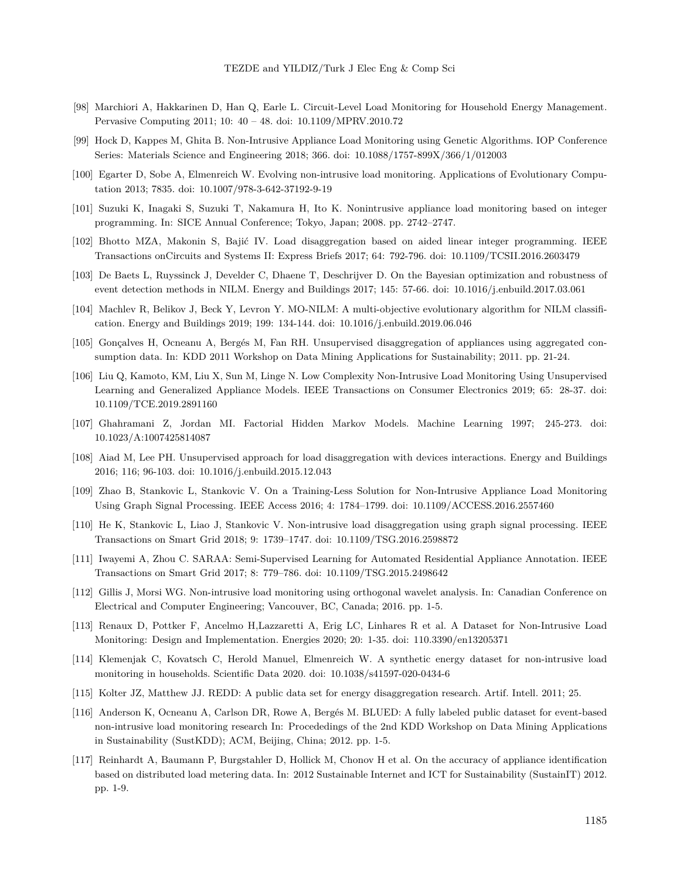- <span id="page-24-0"></span>[98] Marchiori A, Hakkarinen D, Han Q, Earle L. Circuit-Level Load Monitoring for Household Energy Management. Pervasive Computing 2011; 10: 40 – 48. doi: 10.1109/MPRV.2010.72
- <span id="page-24-1"></span>[99] Hock D, Kappes M, Ghita B. Non-Intrusive Appliance Load Monitoring using Genetic Algorithms. IOP Conference Series: Materials Science and Engineering 2018; 366. doi: 10.1088/1757-899X/366/1/012003
- <span id="page-24-2"></span>[100] Egarter D, Sobe A, Elmenreich W. Evolving non-intrusive load monitoring. Applications of Evolutionary Computation 2013; 7835. doi: 10.1007/978-3-642-37192-9-19
- <span id="page-24-3"></span>[101] Suzuki K, Inagaki S, Suzuki T, Nakamura H, Ito K. Nonintrusive appliance load monitoring based on integer programming. In: SICE Annual Conference; Tokyo, Japan; 2008. pp. 2742–2747.
- <span id="page-24-4"></span>[102] Bhotto MZA, Makonin S, Bajić IV. Load disaggregation based on aided linear integer programming. IEEE Transactions onCircuits and Systems II: Express Briefs 2017; 64: 792-796. doi: 10.1109/TCSII.2016.2603479
- <span id="page-24-5"></span>[103] De Baets L, Ruyssinck J, Develder C, Dhaene T, Deschrijver D. On the Bayesian optimization and robustness of event detection methods in NILM. Energy and Buildings 2017; 145: 57-66. doi: 10.1016/j.enbuild.2017.03.061
- <span id="page-24-6"></span>[104] Machlev R, Belikov J, Beck Y, Levron Y. MO-NILM: A multi-objective evolutionary algorithm for NILM classification. Energy and Buildings 2019; 199: 134-144. doi: 10.1016/j.enbuild.2019.06.046
- <span id="page-24-7"></span>[105] Gonçalves H, Ocneanu A, Bergés M, Fan RH. Unsupervised disaggregation of appliances using aggregated consumption data. In: KDD 2011 Workshop on Data Mining Applications for Sustainability; 2011. pp. 21-24.
- <span id="page-24-8"></span>[106] Liu Q, Kamoto, KM, Liu X, Sun M, Linge N. Low Complexity Non-Intrusive Load Monitoring Using Unsupervised Learning and Generalized Appliance Models. IEEE Transactions on Consumer Electronics 2019; 65: 28-37. doi: 10.1109/TCE.2019.2891160
- <span id="page-24-9"></span>[107] Ghahramani Z, Jordan MI. Factorial Hidden Markov Models. Machine Learning 1997; 245-273. doi: 10.1023/A:1007425814087
- <span id="page-24-10"></span>[108] Aiad M, Lee PH. Unsupervised approach for load disaggregation with devices interactions. Energy and Buildings 2016; 116; 96-103. doi: 10.1016/j.enbuild.2015.12.043
- <span id="page-24-11"></span>[109] Zhao B, Stankovic L, Stankovic V. On a Training-Less Solution for Non-Intrusive Appliance Load Monitoring Using Graph Signal Processing. IEEE Access 2016; 4: 1784–1799. doi: 10.1109/ACCESS.2016.2557460
- <span id="page-24-12"></span>[110] He K, Stankovic L, Liao J, Stankovic V. Non-intrusive load disaggregation using graph signal processing. IEEE Transactions on Smart Grid 2018; 9: 1739–1747. doi: 10.1109/TSG.2016.2598872
- <span id="page-24-13"></span>[111] Iwayemi A, Zhou C. SARAA: Semi-Supervised Learning for Automated Residential Appliance Annotation. IEEE Transactions on Smart Grid 2017; 8: 779–786. doi: 10.1109/TSG.2015.2498642
- <span id="page-24-14"></span>[112] Gillis J, Morsi WG. Non-intrusive load monitoring using orthogonal wavelet analysis. In: Canadian Conference on Electrical and Computer Engineering; Vancouver, BC, Canada; 2016. pp. 1-5.
- <span id="page-24-15"></span>[113] Renaux D, Pottker F, Ancelmo H,Lazzaretti A, Erig LC, Linhares R et al. A Dataset for Non-Intrusive Load Monitoring: Design and Implementation. Energies 2020; 20: 1-35. doi: 110.3390/en13205371
- <span id="page-24-16"></span>[114] Klemenjak C, Kovatsch C, Herold Manuel, Elmenreich W. A synthetic energy dataset for non-intrusive load monitoring in households. Scientific Data 2020. doi: 10.1038/s41597-020-0434-6
- <span id="page-24-17"></span>[115] Kolter JZ, Matthew JJ. REDD: A public data set for energy disaggregation research. Artif. Intell. 2011; 25.
- <span id="page-24-18"></span>[116] Anderson K, Ocneanu A, Carlson DR, Rowe A, Bergés M. BLUED: A fully labeled public dataset for event-based non-intrusive load monitoring research In: Procededings of the 2nd KDD Workshop on Data Mining Applications in Sustainability (SustKDD); ACM, Beijing, China; 2012. pp. 1-5.
- <span id="page-24-19"></span>[117] Reinhardt A, Baumann P, Burgstahler D, Hollick M, Chonov H et al. On the accuracy of appliance identification based on distributed load metering data. In: 2012 Sustainable Internet and ICT for Sustainability (SustainIT) 2012. pp. 1-9.